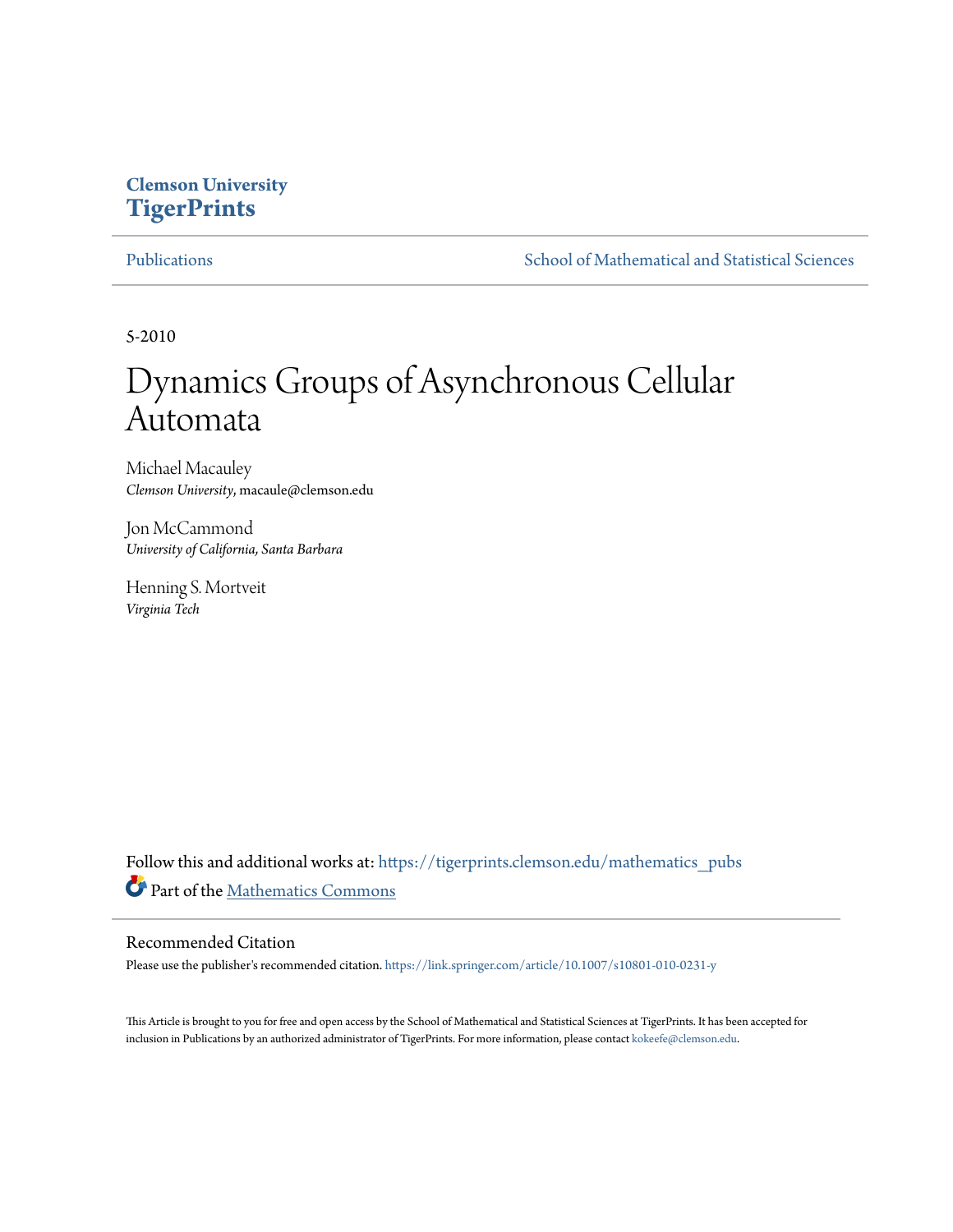# **Clemson University [TigerPrints](https://tigerprints.clemson.edu?utm_source=tigerprints.clemson.edu%2Fmathematics_pubs%2F10&utm_medium=PDF&utm_campaign=PDFCoverPages)**

[Publications](https://tigerprints.clemson.edu/mathematics_pubs?utm_source=tigerprints.clemson.edu%2Fmathematics_pubs%2F10&utm_medium=PDF&utm_campaign=PDFCoverPages) [School of Mathematical and Statistical Sciences](https://tigerprints.clemson.edu/mathematics?utm_source=tigerprints.clemson.edu%2Fmathematics_pubs%2F10&utm_medium=PDF&utm_campaign=PDFCoverPages)

5-2010

# Dynamics Groups of Asynchronous Cellular Automata

Michael Macauley *Clemson University*, macaule@clemson.edu

Jon McCammond *University of California, Santa Barbara*

Henning S. Mortveit *Virginia Tech*

Follow this and additional works at: [https://tigerprints.clemson.edu/mathematics\\_pubs](https://tigerprints.clemson.edu/mathematics_pubs?utm_source=tigerprints.clemson.edu%2Fmathematics_pubs%2F10&utm_medium=PDF&utm_campaign=PDFCoverPages) Part of the [Mathematics Commons](http://network.bepress.com/hgg/discipline/174?utm_source=tigerprints.clemson.edu%2Fmathematics_pubs%2F10&utm_medium=PDF&utm_campaign=PDFCoverPages)

# Recommended Citation

Please use the publisher's recommended citation. <https://link.springer.com/article/10.1007/s10801-010-0231-y>

This Article is brought to you for free and open access by the School of Mathematical and Statistical Sciences at TigerPrints. It has been accepted for inclusion in Publications by an authorized administrator of TigerPrints. For more information, please contact [kokeefe@clemson.edu.](mailto:kokeefe@clemson.edu)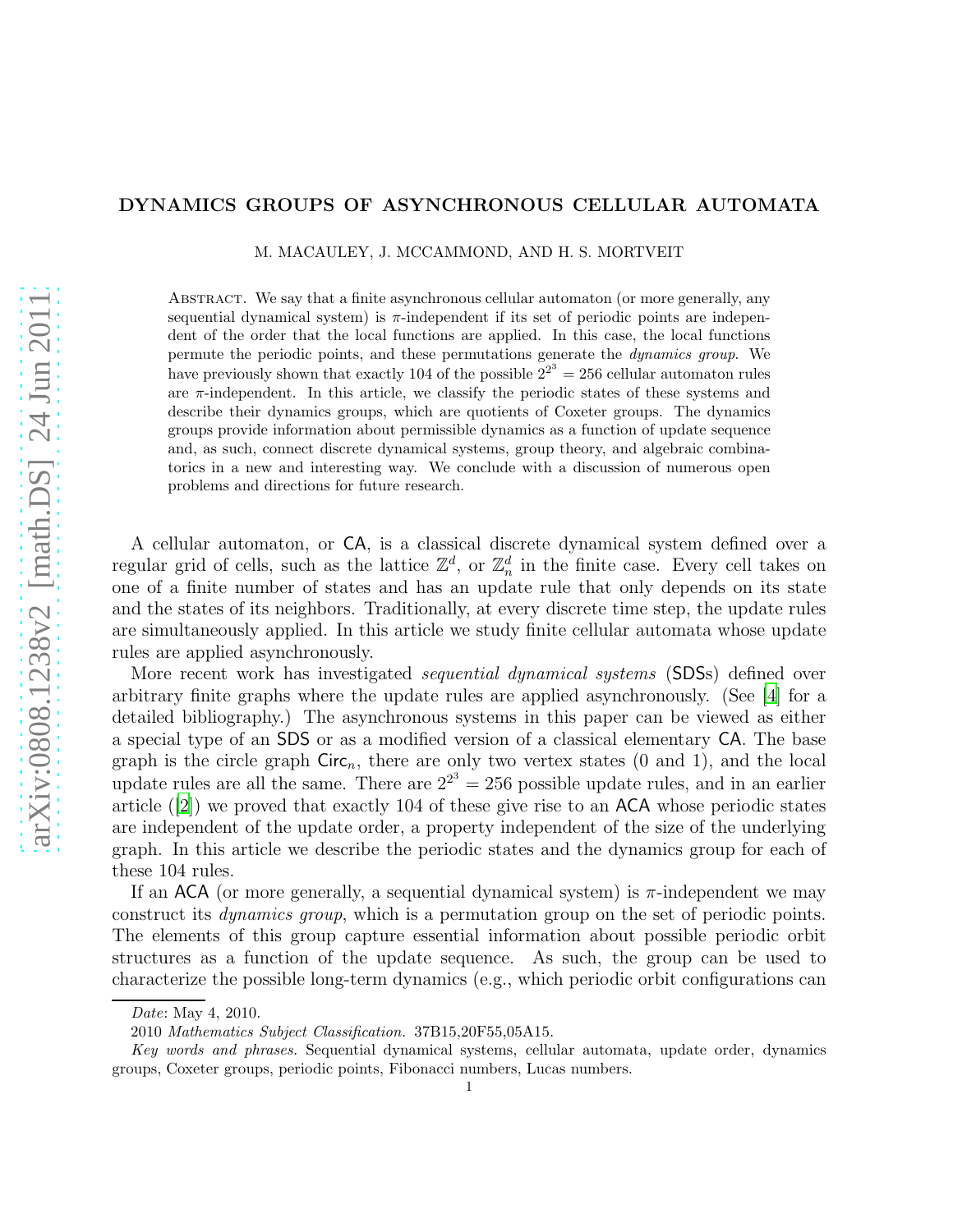# DYNAMICS GROUPS OF ASYNCHRONOUS CELLULAR AUTOMATA

M. MACAULEY, J. MCCAMMOND, AND H. S. MORTVEIT

Abstract. We say that a finite asynchronous cellular automaton (or more generally, any sequential dynamical system) is  $\pi$ -independent if its set of periodic points are independent of the order that the local functions are applied. In this case, the local functions permute the periodic points, and these permutations generate the dynamics group. We have previously shown that exactly 104 of the possible  $2^{2^3} = 256$  cellular automaton rules are  $\pi$ -independent. In this article, we classify the periodic states of these systems and describe their dynamics groups, which are quotients of Coxeter groups. The dynamics groups provide information about permissible dynamics as a function of update sequence and, as such, connect discrete dynamical systems, group theory, and algebraic combinatorics in a new and interesting way. We conclude with a discussion of numerous open problems and directions for future research.

A cellular automaton, or CA, is a classical discrete dynamical system defined over a regular grid of cells, such as the lattice  $\mathbb{Z}^d$ , or  $\mathbb{Z}_n^d$  in the finite case. Every cell takes on one of a finite number of states and has an update rule that only depends on its state and the states of its neighbors. Traditionally, at every discrete time step, the update rules are simultaneously applied. In this article we study finite cellular automata whose update rules are applied asynchronously.

More recent work has investigated *sequential dynamical systems* (SDSs) defined over arbitrary finite graphs where the update rules are applied asynchronously. (See [\[4\]](#page-23-0) for a detailed bibliography.) The asynchronous systems in this paper can be viewed as either a special type of an SDS or as a modified version of a classical elementary CA. The base graph is the circle graph  $Circ_n$ , there are only two vertex states (0 and 1), and the local update rules are all the same. There are  $2^{2^3} = 256$  possible update rules, and in an earlier article ([\[2](#page-23-1)]) we proved that exactly 104 of these give rise to an ACA whose periodic states are independent of the update order, a property independent of the size of the underlying graph. In this article we describe the periodic states and the dynamics group for each of these 104 rules.

If an ACA (or more generally, a sequential dynamical system) is  $\pi$ -independent we may construct its dynamics group, which is a permutation group on the set of periodic points. The elements of this group capture essential information about possible periodic orbit structures as a function of the update sequence. As such, the group can be used to characterize the possible long-term dynamics (e.g., which periodic orbit configurations can

Date: May 4, 2010.

<sup>2010</sup> Mathematics Subject Classification. 37B15,20F55,05A15.

Key words and phrases. Sequential dynamical systems, cellular automata, update order, dynamics groups, Coxeter groups, periodic points, Fibonacci numbers, Lucas numbers.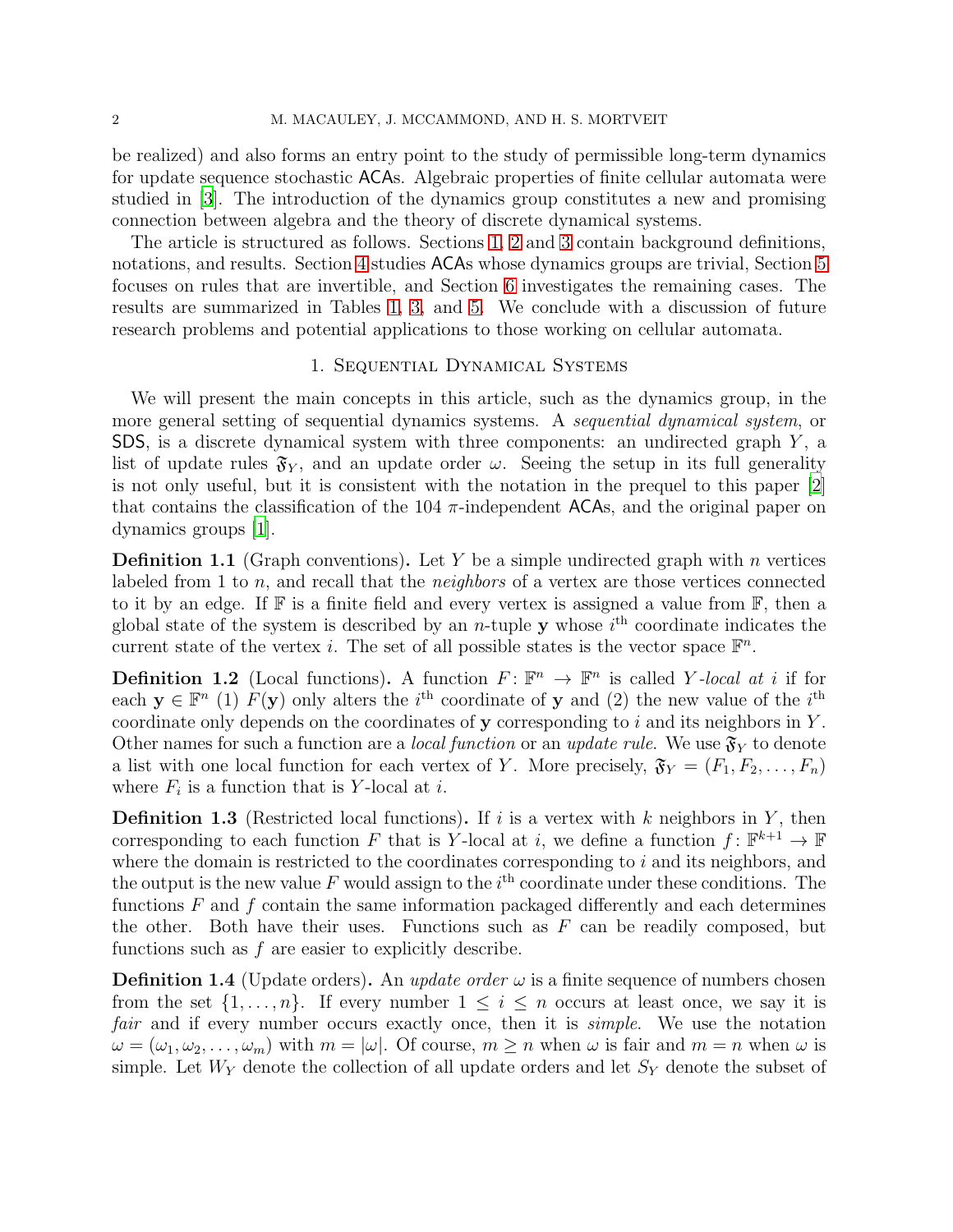be realized) and also forms an entry point to the study of permissible long-term dynamics for update sequence stochastic ACAs. Algebraic properties of finite cellular automata were studied in [\[3\]](#page-23-2). The introduction of the dynamics group constitutes a new and promising connection between algebra and the theory of discrete dynamical systems.

The article is structured as follows. Sections [1,](#page-2-0) [2](#page-4-0) and [3](#page-6-0) contain background definitions, notations, and results. Section [4](#page-9-0) studies ACAs whose dynamics groups are trivial, Section [5](#page-12-0) focuses on rules that are invertible, and Section [6](#page-19-0) investigates the remaining cases. The results are summarized in Tables [1,](#page-10-0) [3,](#page-13-0) and [5.](#page-21-0) We conclude with a discussion of future research problems and potential applications to those working on cellular automata.

#### 1. Sequential Dynamical Systems

<span id="page-2-0"></span>We will present the main concepts in this article, such as the dynamics group, in the more general setting of sequential dynamics systems. A *sequential dynamical system*, or SDS, is a discrete dynamical system with three components: an undirected graph  $Y$ , a list of update rules  $\mathfrak{F}_{Y}$ , and an update order  $\omega$ . Seeing the setup in its full generality is not only useful, but it is consistent with the notation in the prequel to this paper [\[2\]](#page-23-1) that contains the classification of the 104  $\pi$ -independent ACAs, and the original paper on dynamics groups [\[1\]](#page-23-3).

**Definition 1.1** (Graph conventions). Let Y be a simple undirected graph with n vertices labeled from 1 to  $n$ , and recall that the *neighbors* of a vertex are those vertices connected to it by an edge. If  $\mathbb F$  is a finite field and every vertex is assigned a value from  $\mathbb F$ , then a global state of the system is described by an *n*-tuple **y** whose  $i<sup>th</sup>$  coordinate indicates the current state of the vertex *i*. The set of all possible states is the vector space  $\mathbb{F}^n$ .

**Definition 1.2** (Local functions). A function  $F: \mathbb{F}^n \to \mathbb{F}^n$  is called Y-local at i if for each  $y \in \mathbb{F}^n$  (1)  $F(y)$  only alters the *i*<sup>th</sup> coordinate of y and (2) the new value of the *i*<sup>th</sup> coordinate only depends on the coordinates of  $\bf{y}$  corresponding to i and its neighbors in Y. Other names for such a function are a *local function* or an *update rule*. We use  $\mathfrak{F}_Y$  to denote a list with one local function for each vertex of Y. More precisely,  $\mathfrak{F}_Y = (F_1, F_2, \ldots, F_n)$ where  $F_i$  is a function that is Y-local at *i*.

**Definition 1.3** (Restricted local functions). If i is a vertex with k neighbors in Y, then corresponding to each function F that is Y-local at i, we define a function  $f: \mathbb{F}^{k+1} \to \mathbb{F}$ where the domain is restricted to the coordinates corresponding to  $i$  and its neighbors, and the output is the new value F would assign to the  $i<sup>th</sup>$  coordinate under these conditions. The functions  $F$  and  $f$  contain the same information packaged differently and each determines the other. Both have their uses. Functions such as  $F$  can be readily composed, but functions such as  $f$  are easier to explicitly describe.

**Definition 1.4** (Update orders). An *update order*  $\omega$  is a finite sequence of numbers chosen from the set  $\{1, \ldots, n\}$ . If every number  $1 \leq i \leq n$  occurs at least once, we say it is fair and if every number occurs exactly once, then it is *simple*. We use the notation  $\omega = (\omega_1, \omega_2, \dots, \omega_m)$  with  $m = |\omega|$ . Of course,  $m \geq n$  when  $\omega$  is fair and  $m = n$  when  $\omega$  is simple. Let  $W_Y$  denote the collection of all update orders and let  $S_Y$  denote the subset of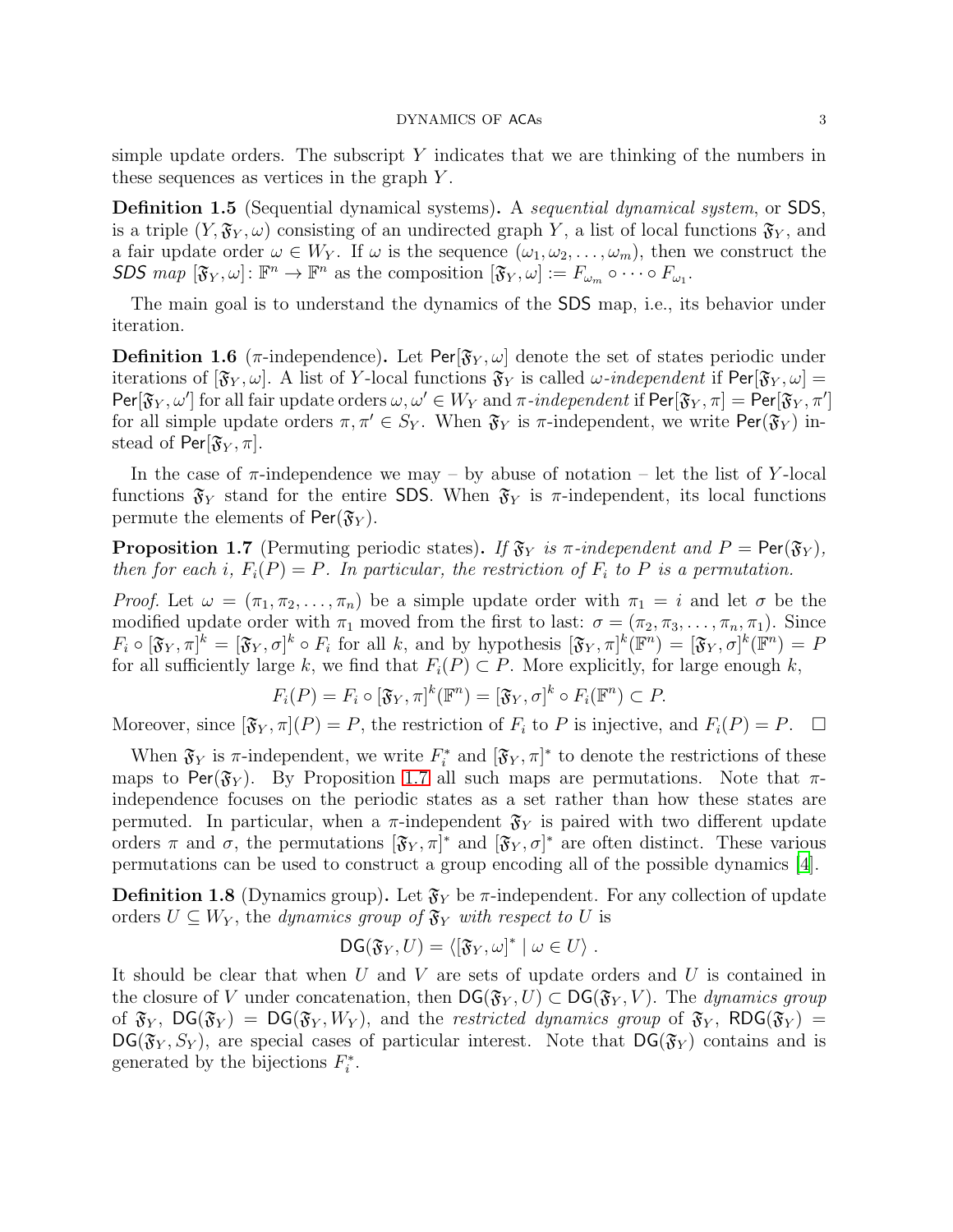simple update orders. The subscript  $Y$  indicates that we are thinking of the numbers in these sequences as vertices in the graph Y .

Definition 1.5 (Sequential dynamical systems). A sequential dynamical system, or SDS, is a triple  $(Y, \mathfrak{F}_Y, \omega)$  consisting of an undirected graph Y, a list of local functions  $\mathfrak{F}_Y$ , and a fair update order  $\omega \in W_Y$ . If  $\omega$  is the sequence  $(\omega_1, \omega_2, \ldots, \omega_m)$ , then we construct the SDS  $map \; [\mathfrak{F}_Y, \omega] \colon \mathbb{F}^n \to \mathbb{F}^n$  as the composition  $[\mathfrak{F}_Y, \omega] := F_{\omega_m} \circ \cdots \circ F_{\omega_1}$ .

The main goal is to understand the dynamics of the SDS map, i.e., its behavior under iteration.

**Definition 1.6** ( $\pi$ -independence). Let Per[ $\mathfrak{F}_Y, \omega$ ] denote the set of states periodic under iterations of  $[\mathfrak{F}_{Y}, \omega]$ . A list of Y-local functions  $\mathfrak{F}_{Y}$  is called  $\omega$ -independent if  $\textsf{Per}[\mathfrak{F}_{Y}, \omega]$  $\text{Per}[\mathfrak{F}_Y,\omega']$  for all fair update orders  $\omega,\omega'\in W_Y$  and  $\pi$ -independent if  $\text{Per}[\mathfrak{F}_Y,\pi]=\text{Per}[\mathfrak{F}_Y,\pi']$ for all simple update orders  $\pi, \pi' \in S_Y$ . When  $\mathfrak{F}_Y$  is  $\pi$ -independent, we write Per( $\mathfrak{F}_Y$ ) instead of Per[ $\mathfrak{F}_Y$ ,  $\pi$ ].

In the case of  $\pi$ -independence we may – by abuse of notation – let the list of Y-local functions  $\mathfrak{F}_Y$  stand for the entire SDS. When  $\mathfrak{F}_Y$  is  $\pi$ -independent, its local functions permute the elements of  $Per(\mathfrak{F}_Y)$ .

<span id="page-3-0"></span>**Proposition 1.7** (Permuting periodic states). If  $\mathfrak{F}_Y$  is  $\pi$ -independent and  $P = \text{Per}(\mathfrak{F}_Y)$ , then for each i,  $F_i(P) = P$ . In particular, the restriction of  $F_i$  to P is a permutation.

*Proof.* Let  $\omega = (\pi_1, \pi_2, ..., \pi_n)$  be a simple update order with  $\pi_1 = i$  and let  $\sigma$  be the modified update order with  $\pi_1$  moved from the first to last:  $\sigma = (\pi_2, \pi_3, \ldots, \pi_n, \pi_1)$ . Since  $F_i \circ [\mathfrak{F}_Y, \pi]^k = [\mathfrak{F}_Y, \sigma]^k \circ F_i$  for all k, and by hypothesis  $[\mathfrak{F}_Y, \pi]^k(\mathbb{F}^n) = [\mathfrak{F}_Y, \sigma]^k(\mathbb{F}^n) = F$ for all sufficiently large k, we find that  $F_i(P) \subset P$ . More explicitly, for large enough k,

$$
F_i(P) = F_i \circ [\mathfrak{F}_Y, \pi]^k(\mathbb{F}^n) = [\mathfrak{F}_Y, \sigma]^k \circ F_i(\mathbb{F}^n) \subset P.
$$

Moreover, since  $[\mathfrak{F}_Y, \pi](P) = P$ , the restriction of  $F_i$  to P is injective, and  $F_i(P) = P$ .  $\Box$ 

When  $\mathfrak{F}_Y$  is  $\pi$ -independent, we write  $F_i^*$  and  $[\mathfrak{F}_Y, \pi]^*$  to denote the restrictions of these maps to Per( $\mathfrak{F}_Y$ ). By Proposition [1.7](#page-3-0) all such maps are permutations. Note that  $\pi$ independence focuses on the periodic states as a set rather than how these states are permuted. In particular, when a  $\pi$ -independent  $\mathfrak{F}_Y$  is paired with two different update orders  $\pi$  and  $\sigma$ , the permutations  $[\mathfrak{F}_Y, \pi]^*$  and  $[\mathfrak{F}_Y, \sigma]^*$  are often distinct. These various permutations can be used to construct a group encoding all of the possible dynamics [\[4](#page-23-0)].

**Definition 1.8** (Dynamics group). Let  $\mathfrak{F}_Y$  be  $\pi$ -independent. For any collection of update orders  $U \subseteq W_Y$ , the dynamics group of  $\mathfrak{F}_Y$  with respect to U is

$$
\mathsf{DG}(\mathfrak{F}_Y,U)=\langle [\mathfrak{F}_Y,\omega]^* \mid \omega \in U \rangle.
$$

It should be clear that when  $U$  and  $V$  are sets of update orders and  $U$  is contained in the closure of V under concatenation, then  $DG(\mathfrak{F}_{Y},U) \subset DG(\mathfrak{F}_{Y},V)$ . The dynamics group of  $\mathfrak{F}_Y$ ,  $\mathsf{DG}(\mathfrak{F}_Y) = \mathsf{DG}(\mathfrak{F}_Y, W_Y)$ , and the restricted dynamics group of  $\mathfrak{F}_Y$ ,  $\mathsf{RDG}(\mathfrak{F}_Y) =$  $DG(\mathfrak{F}_{Y}, S_{Y}),$  are special cases of particular interest. Note that  $DG(\mathfrak{F}_{Y})$  contains and is generated by the bijections  $F_i^*$ '\* .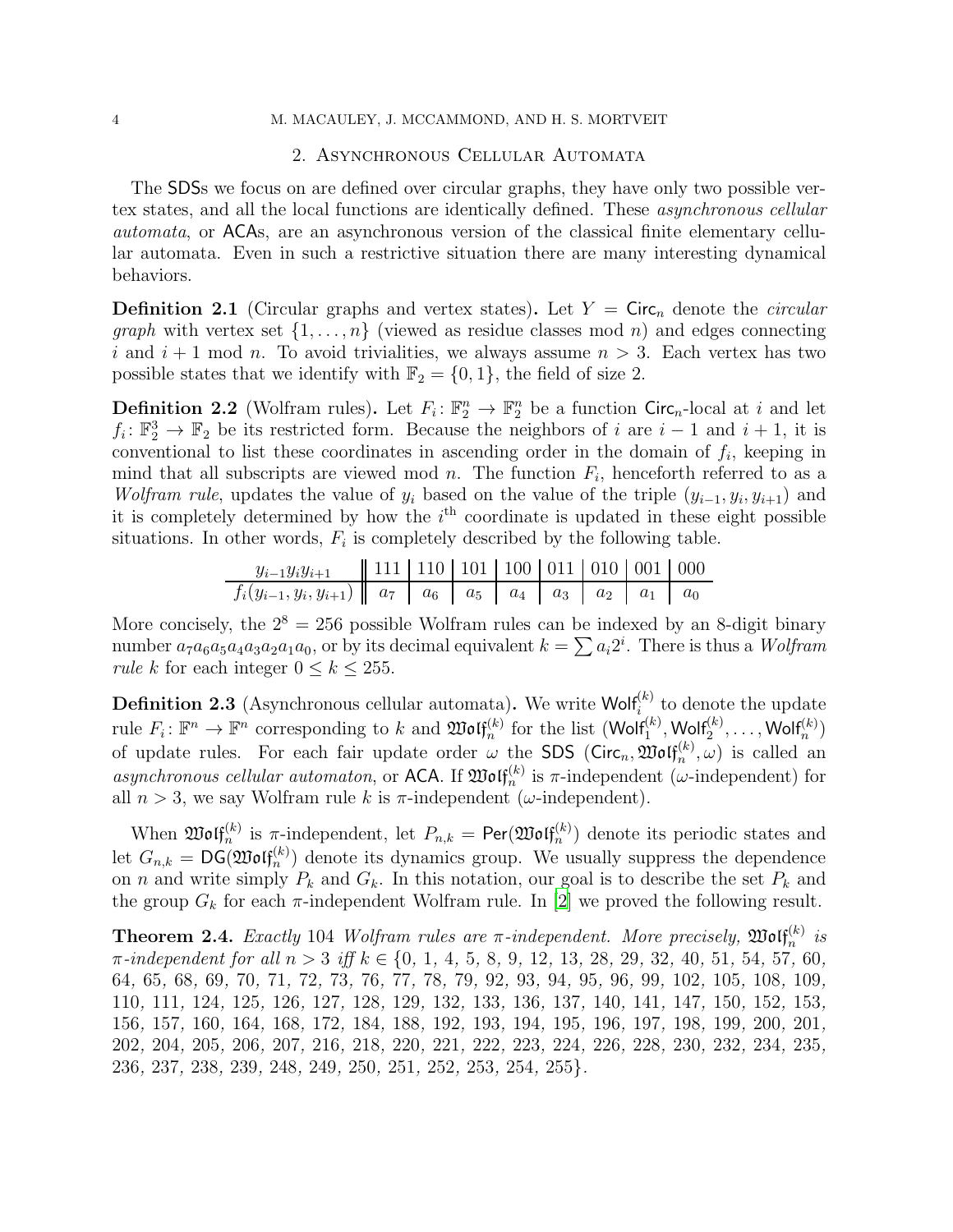#### <span id="page-4-0"></span>4 M. MACAULEY, J. MCCAMMOND, AND H. S. MORTVEIT

#### 2. Asynchronous Cellular Automata

The SDSs we focus on are defined over circular graphs, they have only two possible vertex states, and all the local functions are identically defined. These asynchronous cellular automata, or ACAs, are an asynchronous version of the classical finite elementary cellular automata. Even in such a restrictive situation there are many interesting dynamical behaviors.

**Definition 2.1** (Circular graphs and vertex states). Let  $Y = \text{Circ}_n$  denote the *circular graph* with vertex set  $\{1, \ldots, n\}$  (viewed as residue classes mod n) and edges connecting i and  $i + 1$  mod n. To avoid trivialities, we always assume  $n > 3$ . Each vertex has two possible states that we identify with  $\mathbb{F}_2 = \{0, 1\}$ , the field of size 2.

**Definition 2.2** (Wolfram rules). Let  $F_i: \mathbb{F}_2^n \to \mathbb{F}_2^n$  be a function Circ<sub>n</sub>-local at i and let  $f_i: \mathbb{F}_2^3 \to \mathbb{F}_2$  be its restricted form. Because the neighbors of i are  $i-1$  and  $i+1$ , it is conventional to list these coordinates in ascending order in the domain of  $f_i$ , keeping in mind that all subscripts are viewed mod n. The function  $F_i$ , henceforth referred to as a Wolfram rule, updates the value of  $y_i$  based on the value of the triple  $(y_{i-1}, y_i, y_{i+1})$  and it is completely determined by how the  $i<sup>th</sup>$  coordinate is updated in these eight possible situations. In other words,  $F_i$  is completely described by the following table.

| $y_{i-1}y_iy_{i+1}$                                                                                                                          | $\parallel$ 111   110   101   100   011   010   001   000 |  |  |  |  |
|----------------------------------------------------------------------------------------------------------------------------------------------|-----------------------------------------------------------|--|--|--|--|
| $f_i(y_{i-1}, y_i, y_{i+1}) \parallel a_7 \parallel a_6 \parallel a_5 \parallel a_4 \parallel a_3 \parallel a_2 \parallel a_1 \parallel a_0$ |                                                           |  |  |  |  |

More concisely, the  $2^8 = 256$  possible Wolfram rules can be indexed by an 8-digit binary number  $a_7a_6a_5a_4a_3a_2a_1a_0$ , or by its decimal equivalent  $k = \sum a_i 2^i$ . There is thus a *Wolfram rule k* for each integer  $0 \le k \le 255$ .

**Definition 2.3** (Asynchronous cellular automata). We write Wolf<sup>(k)</sup> to denote the update  $\text{rule } F_i: \mathbb{F}^n \to \mathbb{F}^n \text{ corresponding to } k \text{ and } \mathfrak{W}\text{o}\text{If}_n^{(k)} \text{ for the list } (\text{W}\text{o}\text{If}_1^{(k)}, \text{W}\text{o}\text{If}_2^{(k)}, \dots, \text{W}\text{o}\text{If}_n^{(k)})$ of update rules. For each fair update order  $\omega$  the SDS (Circ<sub>n</sub>,  $\mathfrak{W}\mathfrak{of}_{n}^{(k)}$ ,  $\omega$ ) is called an asynchronous cellular automaton, or ACA. If  $\mathfrak{W}\mathfrak{of}^{(k)}_n$  is  $\pi$ -independent ( $\omega$ -independent) for all  $n > 3$ , we say Wolfram rule k is  $\pi$ -independent ( $\omega$ -independent).

When  $\mathfrak{W}\mathfrak{of}^{(k)}_{n}$  is  $\pi$ -independent, let  $P_{n,k} = \mathsf{Per}(\mathfrak{W}\mathfrak{of}^{(k)}_{n})$  denote its periodic states and let  $G_{n,k} = \text{DG}(\mathfrak{W}(\mathfrak{gl}_n^{(k)})$  denote its dynamics group. We usually suppress the dependence on n and write simply  $P_k$  and  $G_k$ . In this notation, our goal is to describe the set  $P_k$  and the group  $G_k$  for each  $\pi$ -independent Wolfram rule. In [\[2\]](#page-23-1) we proved the following result.

<span id="page-4-1"></span>**Theorem 2.4.** Exactly 104 Wolfram rules are  $\pi$ -independent. More precisely,  $\mathfrak{M} \mathfrak{of}^{(k)}_{n}$  is  $\pi$ -independent for all  $n > 3$  iff  $k \in \{0, 1, 4, 5, 8, 9, 12, 13, 28, 29, 32, 40, 51, 54, 57, 60,$ , 65, 68, 69, 70, 71, 72, 73, 76, 77, 78, 79, 92, 93, 94, 95, 96, 99, 102, 105, 108, 109, , 111, 124, 125, 126, 127, 128, 129, 132, 133, 136, 137, 140, 141, 147, 150, 152, 153, , 157, 160, 164, 168, 172, 184, 188, 192, 193, 194, 195, 196, 197, 198, 199, 200, 201, , 204, 205, 206, 207, 216, 218, 220, 221, 222, 223, 224, 226, 228, 230, 232, 234, 235, , 237, 238, 239, 248, 249, 250, 251, 252, 253, 254, 255}.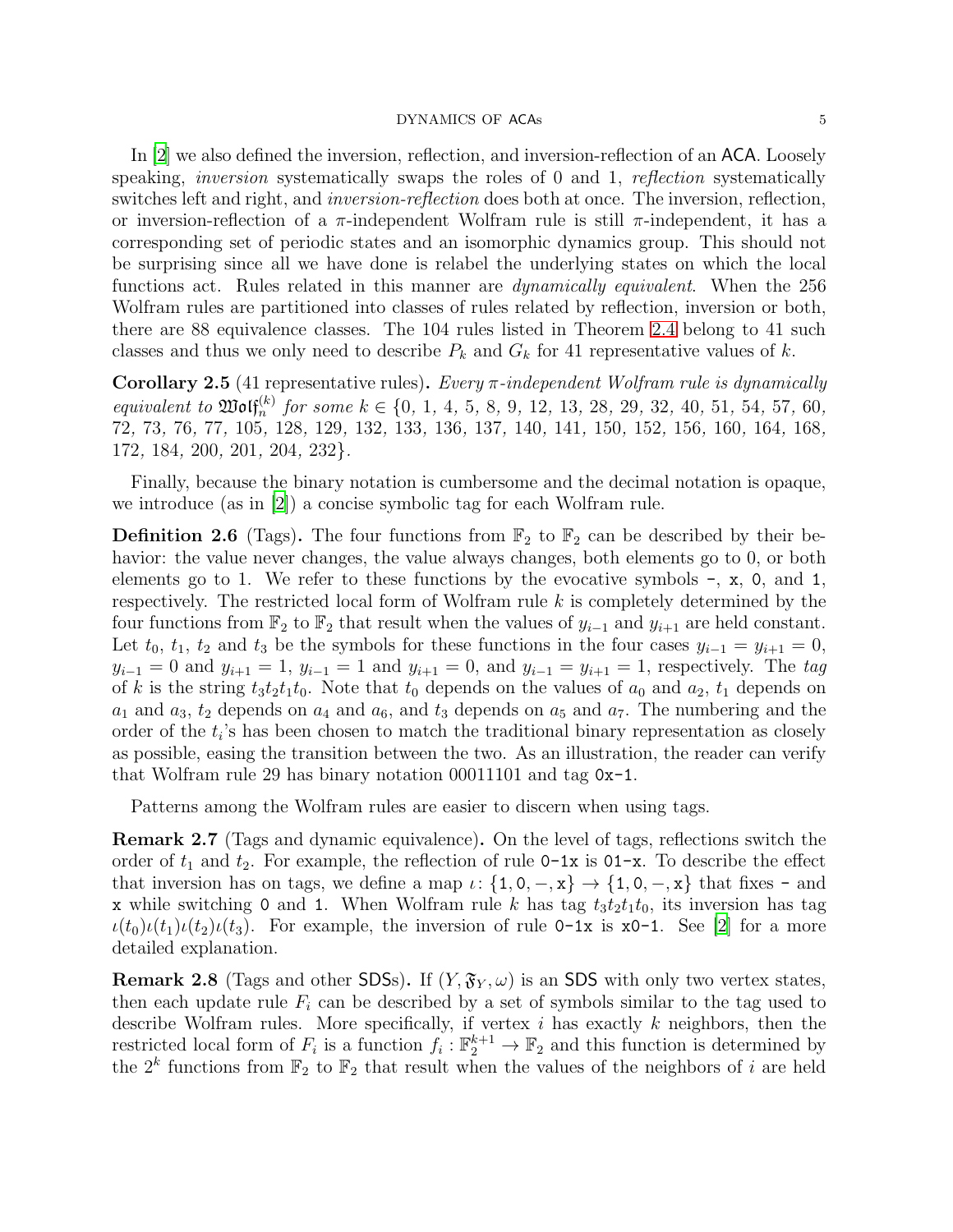In [\[2\]](#page-23-1) we also defined the inversion, reflection, and inversion-reflection of an ACA. Loosely speaking, *inversion* systematically swaps the roles of 0 and 1, *reflection* systematically switches left and right, and *inversion-reflection* does both at once. The inversion, reflection, or inversion-reflection of a  $\pi$ -independent Wolfram rule is still  $\pi$ -independent, it has a corresponding set of periodic states and an isomorphic dynamics group. This should not be surprising since all we have done is relabel the underlying states on which the local functions act. Rules related in this manner are dynamically equivalent. When the 256 Wolfram rules are partitioned into classes of rules related by reflection, inversion or both, there are 88 equivalence classes. The 104 rules listed in Theorem [2.4](#page-4-1) belong to 41 such classes and thus we only need to describe  $P_k$  and  $G_k$  for 41 representative values of k.

Corollary 2.5 (41 representative rules). Every  $\pi$ -independent Wolfram rule is dynamically equivalent to  $\mathfrak{W}\text{off}_n^{(k)}$  for some  $k \in \{0, 1, 4, 5, 8, 9, 12, 13, 28, 29, 32, 40, 51, 54, 57, 60,$ 72, 73, 76, 77, 105, 128, 129, 132, 133, 136, 137, 140, 141, 150, 152, 156, 160, 164, 168, 172, 184, 200, 201, 204, 232}.

Finally, because the binary notation is cumbersome and the decimal notation is opaque, we introduce (as in [\[2](#page-23-1)]) a concise symbolic tag for each Wolfram rule.

**Definition 2.6** (Tags). The four functions from  $\mathbb{F}_2$  to  $\mathbb{F}_2$  can be described by their behavior: the value never changes, the value always changes, both elements go to 0, or both elements go to 1. We refer to these functions by the evocative symbols  $-$ ,  $\mathbf{x}$ ,  $\mathbf{0}$ , and 1, respectively. The restricted local form of Wolfram rule  $k$  is completely determined by the four functions from  $\mathbb{F}_2$  to  $\mathbb{F}_2$  that result when the values of  $y_{i-1}$  and  $y_{i+1}$  are held constant. Let  $t_0$ ,  $t_1$ ,  $t_2$  and  $t_3$  be the symbols for these functions in the four cases  $y_{i-1} = y_{i+1} = 0$ ,  $y_{i-1} = 0$  and  $y_{i+1} = 1$ ,  $y_{i-1} = 1$  and  $y_{i+1} = 0$ , and  $y_{i-1} = y_{i+1} = 1$ , respectively. The tag of k is the string  $t_3t_2t_1t_0$ . Note that  $t_0$  depends on the values of  $a_0$  and  $a_2$ ,  $t_1$  depends on  $a_1$  and  $a_3$ ,  $t_2$  depends on  $a_4$  and  $a_6$ , and  $t_3$  depends on  $a_5$  and  $a_7$ . The numbering and the order of the  $t_i$ 's has been chosen to match the traditional binary representation as closely as possible, easing the transition between the two. As an illustration, the reader can verify that Wolfram rule 29 has binary notation 00011101 and tag 0x-1.

Patterns among the Wolfram rules are easier to discern when using tags.

Remark 2.7 (Tags and dynamic equivalence). On the level of tags, reflections switch the order of  $t_1$  and  $t_2$ . For example, the reflection of rule 0-1x is 01-x. To describe the effect that inversion has on tags, we define a map  $\iota: \{1, 0, -x\} \rightarrow \{1, 0, -x\}$  that fixes - and x while switching 0 and 1. When Wolfram rule k has tag  $t_3t_2t_1t_0$ , its inversion has tag  $\iota(t_0)\iota(t_1)\iota(t_2)\iota(t_3)$ . For example, the inversion of rule 0-1x is x0-1. See [\[2](#page-23-1)] for a more detailed explanation.

**Remark 2.8** (Tags and other SDSs). If  $(Y, \mathfrak{F}_Y, \omega)$  is an SDS with only two vertex states, then each update rule  $F_i$  can be described by a set of symbols similar to the tag used to describe Wolfram rules. More specifically, if vertex  $i$  has exactly  $k$  neighbors, then the restricted local form of  $F_i$  is a function  $f_i: \mathbb{F}_2^{k+1} \to \mathbb{F}_2$  and this function is determined by the  $2^k$  functions from  $\mathbb{F}_2$  to  $\mathbb{F}_2$  that result when the values of the neighbors of i are held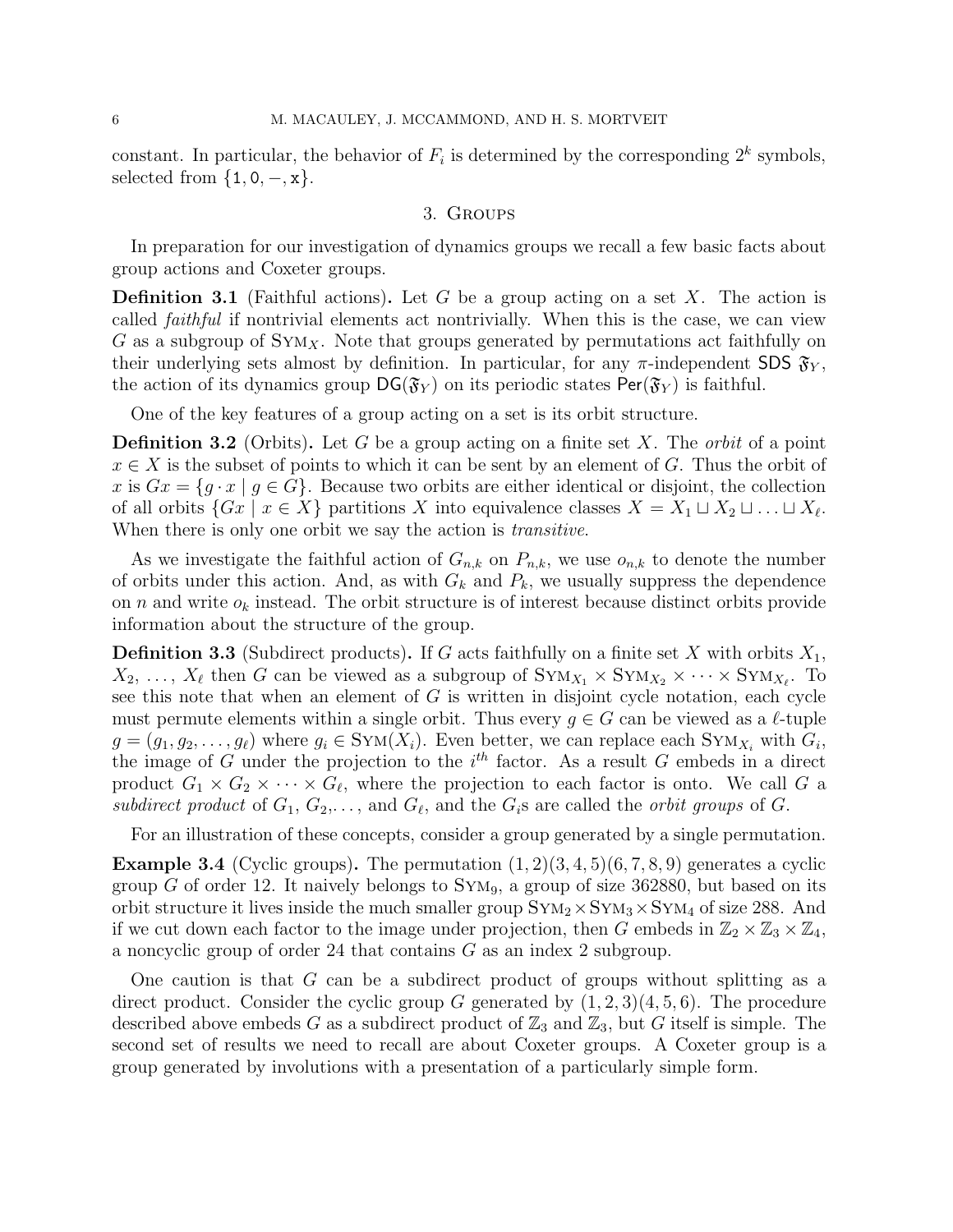<span id="page-6-0"></span>constant. In particular, the behavior of  $F_i$  is determined by the corresponding  $2^k$  symbols, selected from  $\{1, 0, -x\}.$ 

### 3. Groups

In preparation for our investigation of dynamics groups we recall a few basic facts about group actions and Coxeter groups.

**Definition 3.1** (Faithful actions). Let G be a group acting on a set X. The action is called faithful if nontrivial elements act nontrivially. When this is the case, we can view G as a subgroup of  $\text{Sym}_X$ . Note that groups generated by permutations act faithfully on their underlying sets almost by definition. In particular, for any  $\pi$ -independent SDS  $\mathfrak{F}_{Y}$ , the action of its dynamics group  $DG(\mathfrak{F}_Y)$  on its periodic states Per( $\mathfrak{F}_Y$ ) is faithful.

One of the key features of a group acting on a set is its orbit structure.

**Definition 3.2** (Orbits). Let G be a group acting on a finite set X. The *orbit* of a point  $x \in X$  is the subset of points to which it can be sent by an element of G. Thus the orbit of x is  $Gx = \{g \cdot x \mid g \in G\}$ . Because two orbits are either identical or disjoint, the collection of all orbits  $\{Gx \mid x \in X\}$  partitions X into equivalence classes  $X = X_1 \sqcup X_2 \sqcup \ldots \sqcup X_\ell$ . When there is only one orbit we say the action is *transitive*.

As we investigate the faithful action of  $G_{n,k}$  on  $P_{n,k}$ , we use  $o_{n,k}$  to denote the number of orbits under this action. And, as with  $G_k$  and  $P_k$ , we usually suppress the dependence on n and write  $o_k$  instead. The orbit structure is of interest because distinct orbits provide information about the structure of the group.

**Definition 3.3** (Subdirect products). If G acts faithfully on a finite set X with orbits  $X_1$ ,  $X_2, \ldots, X_\ell$  then G can be viewed as a subgroup of  $\text{Sym}_{X_1} \times \text{Sym}_{X_2} \times \cdots \times \text{Sym}_{X_\ell}$ . To see this note that when an element of  $G$  is written in disjoint cycle notation, each cycle must permute elements within a single orbit. Thus every  $g \in G$  can be viewed as a  $\ell$ -tuple  $g = (g_1, g_2, \dots, g_\ell)$  where  $g_i \in \text{Sym}(X_i)$ . Even better, we can replace each  $\text{Sym}_{X_i}$  with  $G_i$ , the image of G under the projection to the  $i<sup>th</sup>$  factor. As a result G embeds in a direct product  $G_1 \times G_2 \times \cdots \times G_{\ell}$ , where the projection to each factor is onto. We call G a subdirect product of  $G_1, G_2, \ldots$ , and  $G_\ell$ , and the  $G_i$ s are called the *orbit groups* of  $G$ .

For an illustration of these concepts, consider a group generated by a single permutation.

**Example 3.4** (Cyclic groups). The permutation  $(1, 2)(3, 4, 5)(6, 7, 8, 9)$  generates a cyclic group G of order 12. It naively belongs to  $SYM<sub>9</sub>$ , a group of size 362880, but based on its orbit structure it lives inside the much smaller group  $\text{Sym}_2 \times \text{Sym}_3 \times \text{Sym}_4$  of size 288. And if we cut down each factor to the image under projection, then G embeds in  $\mathbb{Z}_2 \times \mathbb{Z}_3 \times \mathbb{Z}_4$ , a noncyclic group of order 24 that contains G as an index 2 subgroup.

One caution is that G can be a subdirect product of groups without splitting as a direct product. Consider the cyclic group G generated by  $(1, 2, 3)(4, 5, 6)$ . The procedure described above embeds G as a subdirect product of  $\mathbb{Z}_3$  and  $\mathbb{Z}_3$ , but G itself is simple. The second set of results we need to recall are about Coxeter groups. A Coxeter group is a group generated by involutions with a presentation of a particularly simple form.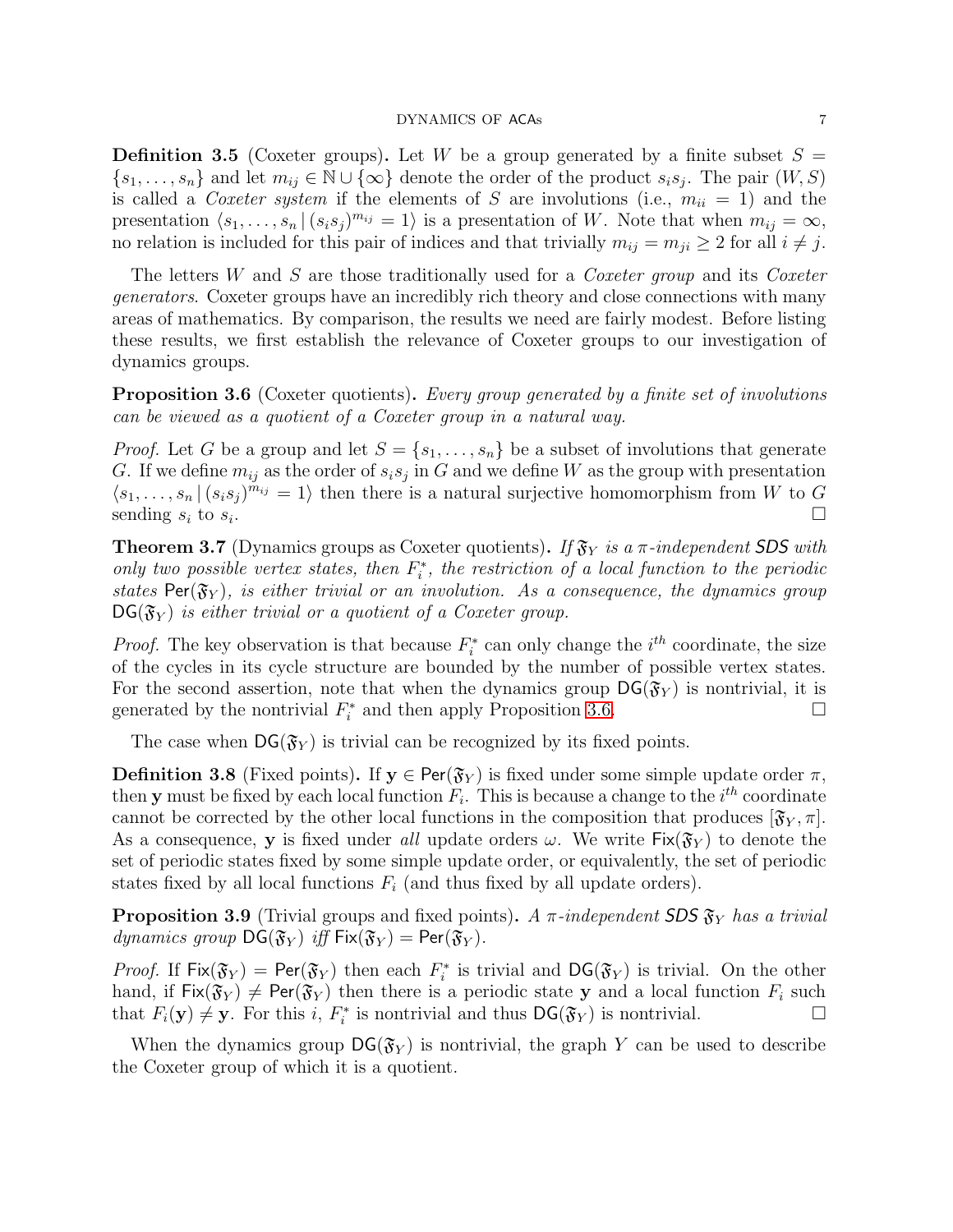**Definition 3.5** (Coxeter groups). Let W be a group generated by a finite subset  $S =$  $\{s_1, \ldots, s_n\}$  and let  $m_{ij} \in \mathbb{N} \cup \{\infty\}$  denote the order of the product  $s_i s_j$ . The pair  $(W, S)$ is called a Coxeter system if the elements of S are involutions (i.e.,  $m_{ii} = 1$ ) and the presentation  $\langle s_1, \ldots, s_n | (s_i s_j)^{m_{ij}} = 1 \rangle$  is a presentation of W. Note that when  $m_{ij} = \infty$ , no relation is included for this pair of indices and that trivially  $m_{ij} = m_{ji} \geq 2$  for all  $i \neq j$ .

The letters  $W$  and  $S$  are those traditionally used for a *Coxeter group* and its *Coxeter* generators. Coxeter groups have an incredibly rich theory and close connections with many areas of mathematics. By comparison, the results we need are fairly modest. Before listing these results, we first establish the relevance of Coxeter groups to our investigation of dynamics groups.

<span id="page-7-0"></span>**Proposition 3.6** (Coxeter quotients). Every group generated by a finite set of involutions can be viewed as a quotient of a Coxeter group in a natural way.

*Proof.* Let G be a group and let  $S = \{s_1, \ldots, s_n\}$  be a subset of involutions that generate G. If we define  $m_{ij}$  as the order of  $s_i s_j$  in G and we define W as the group with presentation  $\langle s_1, \ldots, s_n | (s_i s_j)^{m_{ij}} = 1 \rangle$  then there is a natural surjective homomorphism from W to G sending  $s_i$  to  $s_i$ . . The contract of the contract of the contract of the contract of the contract of  $\Box$ 

**Theorem 3.7** (Dynamics groups as Coxeter quotients). If  $\mathfrak{F}_Y$  is a  $\pi$ -independent SDS with only two possible vertex states, then  $F_i^*$  $i^*$ , the restriction of a local function to the periodic states Per( $\mathfrak{F}_Y$ ), is either trivial or an involution. As a consequence, the dynamics group  $DG(\mathfrak{F}_Y)$  is either trivial or a quotient of a Coxeter group.

*Proof.* The key observation is that because  $F_i^*$  $i^*$  can only change the  $i^{th}$  coordinate, the size of the cycles in its cycle structure are bounded by the number of possible vertex states. For the second assertion, note that when the dynamics group  $DG(\mathfrak{F}_Y)$  is nontrivial, it is generated by the nontrivial  $F_i^*$  $\overline{i}$  and then apply Proposition [3.6.](#page-7-0)

The case when  $DG(\mathfrak{F}_Y)$  is trivial can be recognized by its fixed points.

**Definition 3.8** (Fixed points). If  $y \in Per(\mathfrak{F}_Y)$  is fixed under some simple update order  $\pi$ , then **y** must be fixed by each local function  $F_i$ . This is because a change to the  $i^{th}$  coordinate cannot be corrected by the other local functions in the composition that produces  $[\mathfrak{F}_Y, \pi]$ . As a consequence, **y** is fixed under all update orders  $\omega$ . We write  $Fix(\mathfrak{F}_Y)$  to denote the set of periodic states fixed by some simple update order, or equivalently, the set of periodic states fixed by all local functions  $F_i$  (and thus fixed by all update orders).

<span id="page-7-1"></span>**Proposition 3.9** (Trivial groups and fixed points). A  $\pi$ -independent SDS  $\mathfrak{F}_Y$  has a trivial dynamics group  $DG(\mathfrak{F}_Y)$  iff  $Fix(\mathfrak{F}_Y) = Per(\mathfrak{F}_Y)$ .

*Proof.* If  $Fix(\mathfrak{F}_Y) = Per(\mathfrak{F}_Y)$  then each  $F_i^*$  $\mathcal{G}_i^*$  is trivial and  $\mathsf{DG}(\mathfrak{F}_Y)$  is trivial. On the other hand, if  $Fix(\mathfrak{F}_Y) \neq Per(\mathfrak{F}_Y)$  then there is a periodic state y and a local function  $F_i$  such that  $F_i(\mathbf{y}) \neq \mathbf{y}$ . For this i,  $F_i^*$  $\mathcal{G}_i^*$  is nontrivial and thus  $\mathsf{DG}(\mathfrak{F}_Y)$  is nontrivial.

When the dynamics group  $DG(\mathfrak{F}_Y)$  is nontrivial, the graph Y can be used to describe the Coxeter group of which it is a quotient.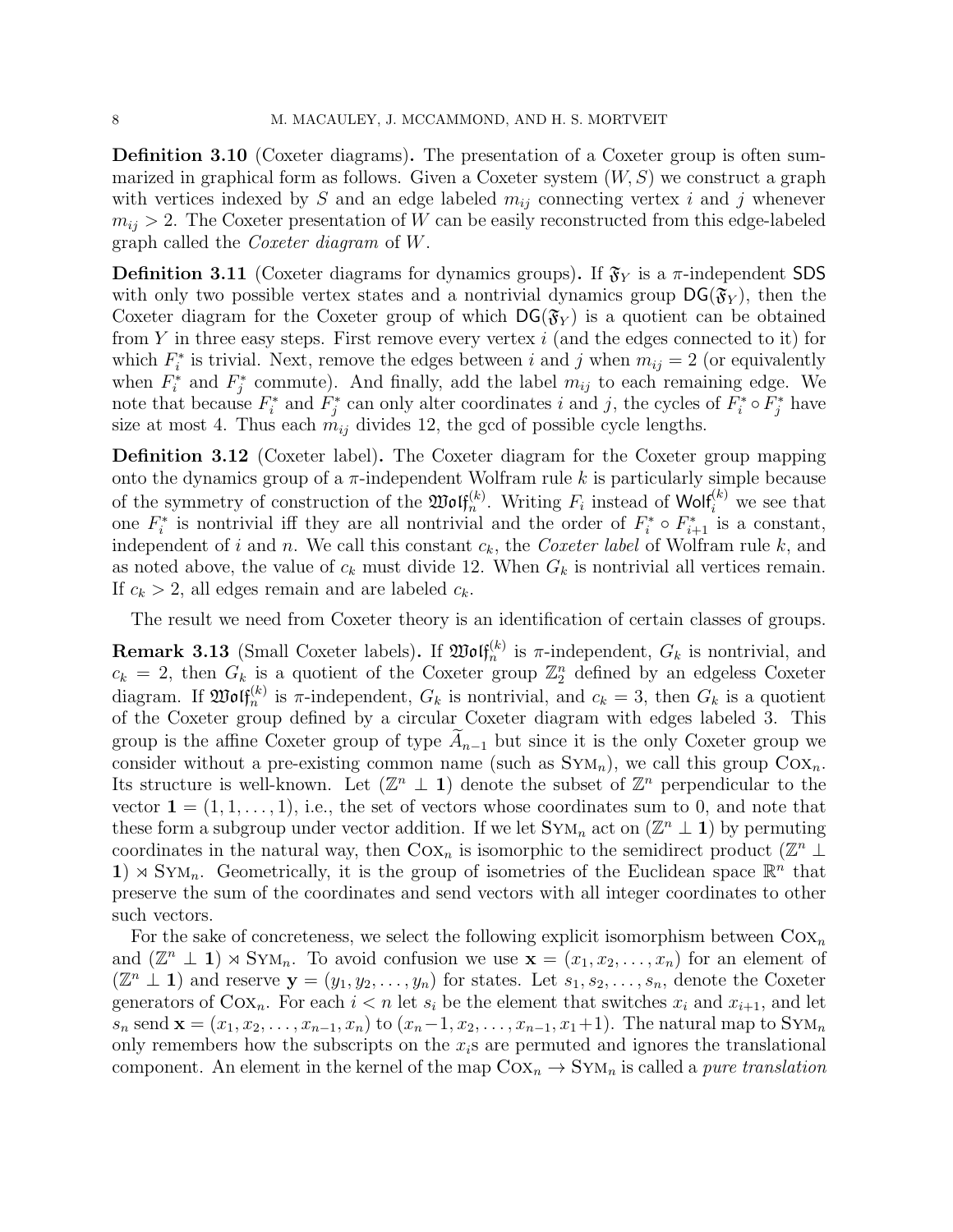Definition 3.10 (Coxeter diagrams). The presentation of a Coxeter group is often summarized in graphical form as follows. Given a Coxeter system  $(W, S)$  we construct a graph with vertices indexed by S and an edge labeled  $m_{ij}$  connecting vertex i and j whenever  $m_{ij} > 2$ . The Coxeter presentation of W can be easily reconstructed from this edge-labeled graph called the Coxeter diagram of W.

**Definition 3.11** (Coxeter diagrams for dynamics groups). If  $\mathfrak{F}_Y$  is a  $\pi$ -independent SDS with only two possible vertex states and a nontrivial dynamics group  $DG(\mathfrak{F}_Y)$ , then the Coxeter diagram for the Coxeter group of which  $DG(\mathfrak{F}_Y)$  is a quotient can be obtained from Y in three easy steps. First remove every vertex  $i$  (and the edges connected to it) for which  $F_i^*$ <sup>\*\*</sup> is trivial. Next, remove the edges between i and j when  $m_{ij} = 2$  (or equivalently when  $F_i^*$  and  $F_j^*$ <sup>\*</sup>/<sub>j</sub> commute). And finally, add the label  $m_{ij}$  to each remaining edge. We note that because  $F_i^*$ <sup>\*\*</sup> and  $f_j^*$ <sup>\*</sup>/\* can only alter coordinates i and j, the cycles of  $F_i^*$  $\widetilde{F}_i^* \circ \widetilde{F}_j^*$  have size at most 4. Thus each  $m_{ij}$  divides 12, the gcd of possible cycle lengths.

Definition 3.12 (Coxeter label). The Coxeter diagram for the Coxeter group mapping onto the dynamics group of a  $\pi$ -independent Wolfram rule k is particularly simple because of the symmetry of construction of the  $\mathfrak{W} \mathfrak{of}^{(k)}_n$ . Writing  $F_i$  instead of Wolf<sup>(k)</sup> we see that one  $F_i^*$ <sup>\*</sup> is nontrivial iff they are all nontrivial and the order of  $F_i^*$  $F_{i+1}^*$  is a constant, independent of i and n. We call this constant  $c_k$ , the *Coxeter label* of Wolfram rule k, and as noted above, the value of  $c_k$  must divide 12. When  $G_k$  is nontrivial all vertices remain. If  $c_k > 2$ , all edges remain and are labeled  $c_k$ .

The result we need from Coxeter theory is an identification of certain classes of groups.

<span id="page-8-0"></span>**Remark 3.13** (Small Coxeter labels). If  $\mathfrak{W}\mathfrak{of}_{n}^{(k)}$  is  $\pi$ -independent,  $G_k$  is nontrivial, and  $c_k = 2$ , then  $G_k$  is a quotient of the Coxeter group  $\mathbb{Z}_2^n$  defined by an edgeless Coxeter diagram. If  $\mathfrak{W}\mathfrak{of}_n^{(k)}$  is  $\pi$ -independent,  $G_k$  is nontrivial, and  $c_k = 3$ , then  $G_k$  is a quotient of the Coxeter group defined by a circular Coxeter diagram with edges labeled 3. This group is the affine Coxeter group of type  $A_{n-1}$  but since it is the only Coxeter group we consider without a pre-existing common name (such as  $S_{YM_n}$ ), we call this group  $C_{\alpha_n}$ . Its structure is well-known. Let  $(\mathbb{Z}^n \perp 1)$  denote the subset of  $\mathbb{Z}^n$  perpendicular to the vector  $\mathbf{1} = (1, 1, \ldots, 1)$ , i.e., the set of vectors whose coordinates sum to 0, and note that these form a subgroup under vector addition. If we let  $\text{Sym}_n$  act on  $(\mathbb{Z}^n \perp \mathbf{1})$  by permuting coordinates in the natural way, then Co<sub>Xn</sub> is isomorphic to the semidirect product ( $\mathbb{Z}^n$  ⊥ 1)  $\times$  SYM<sub>n</sub>. Geometrically, it is the group of isometries of the Euclidean space  $\mathbb{R}^n$  that preserve the sum of the coordinates and send vectors with all integer coordinates to other such vectors.

For the sake of concreteness, we select the following explicit isomorphism between  $\text{Cox}_n$ and  $(\mathbb{Z}^n \perp \mathbf{1}) \rtimes \text{Sym}_n$ . To avoid confusion we use  $\mathbf{x} = (x_1, x_2, \ldots, x_n)$  for an element of  $(\mathbb{Z}^n \perp \mathbf{1})$  and reserve  $\mathbf{y} = (y_1, y_2, \ldots, y_n)$  for states. Let  $s_1, s_2, \ldots, s_n$ , denote the Coxeter generators of  $Cox_n$ . For each  $i < n$  let  $s_i$  be the element that switches  $x_i$  and  $x_{i+1}$ , and let  $s_n$  send  $\mathbf{x} = (x_1, x_2, \dots, x_{n-1}, x_n)$  to  $(x_n-1, x_2, \dots, x_{n-1}, x_1+1)$ . The natural map to  $\text{Sym}_n$ only remembers how the subscripts on the  $x_i$ s are permuted and ignores the translational component. An element in the kernel of the map  $Cox_n \to Sym_n$  is called a *pure translation*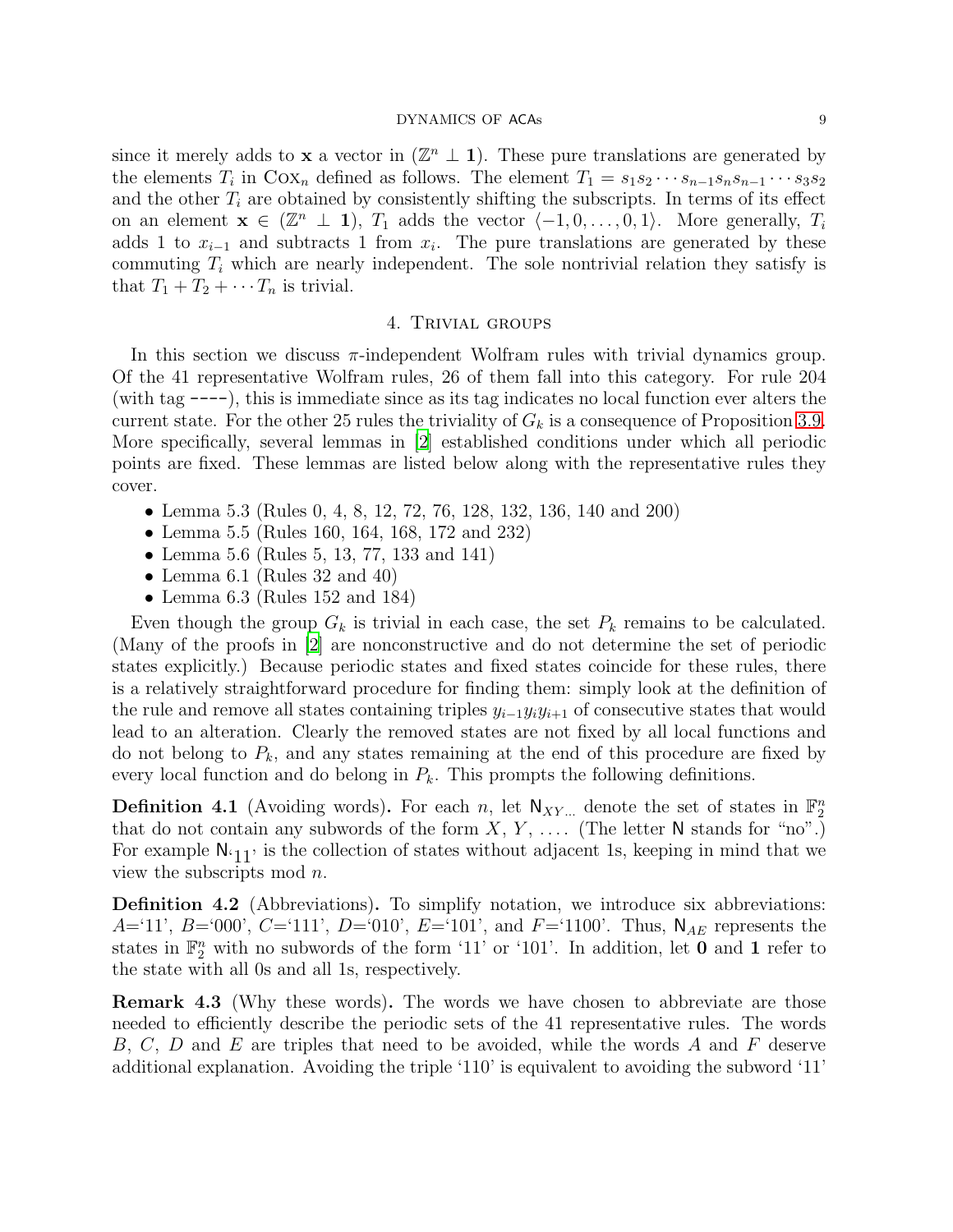since it merely adds to **x** a vector in  $(\mathbb{Z}^n \perp \mathbf{1})$ . These pure translations are generated by the elements  $T_i$  in  $\text{Cox}_n$  defined as follows. The element  $T_1 = s_1 s_2 \cdots s_{n-1} s_n s_{n-1} \cdots s_3 s_2$ and the other  $T_i$  are obtained by consistently shifting the subscripts. In terms of its effect on an element  $\mathbf{x} \in (\mathbb{Z}^n \perp \mathbf{1}), T_1$  adds the vector  $\langle -1, 0, \ldots, 0, 1 \rangle$ . More generally,  $T_i$ adds 1 to  $x_{i-1}$  and subtracts 1 from  $x_i$ . The pure translations are generated by these commuting  $T_i$  which are nearly independent. The sole nontrivial relation they satisfy is that  $T_1 + T_2 + \cdots + T_n$  is trivial.

#### 4. Trivial groups

<span id="page-9-0"></span>In this section we discuss  $\pi$ -independent Wolfram rules with trivial dynamics group. Of the 41 representative Wolfram rules, 26 of them fall into this category. For rule 204 (with tag ----), this is immediate since as its tag indicates no local function ever alters the current state. For the other 25 rules the triviality of  $G_k$  is a consequence of Proposition [3.9.](#page-7-1) More specifically, several lemmas in [\[2](#page-23-1)] established conditions under which all periodic points are fixed. These lemmas are listed below along with the representative rules they cover.

- Lemma 5.3 (Rules 0, 4, 8, 12, 72, 76, 128, 132, 136, 140 and 200)
- Lemma 5.5 (Rules 160, 164, 168, 172 and 232)
- Lemma 5.6 (Rules 5, 13, 77, 133 and 141)
- Lemma 6.1 (Rules 32 and 40)
- Lemma 6.3 (Rules 152 and 184)

Even though the group  $G_k$  is trivial in each case, the set  $P_k$  remains to be calculated. (Many of the proofs in [\[2\]](#page-23-1) are nonconstructive and do not determine the set of periodic states explicitly.) Because periodic states and fixed states coincide for these rules, there is a relatively straightforward procedure for finding them: simply look at the definition of the rule and remove all states containing triples  $y_{i-1}y_iy_{i+1}$  of consecutive states that would lead to an alteration. Clearly the removed states are not fixed by all local functions and do not belong to  $P_k$ , and any states remaining at the end of this procedure are fixed by every local function and do belong in  $P_k$ . This prompts the following definitions.

**Definition 4.1** (Avoiding words). For each n, let  $N_{XY}$  denote the set of states in  $\mathbb{F}_2^n$ that do not contain any subwords of the form  $X, Y, \ldots$  (The letter N stands for "no".) For example  $N_{11}$ , is the collection of states without adjacent 1s, keeping in mind that we view the subscripts mod n.

Definition 4.2 (Abbreviations). To simplify notation, we introduce six abbreviations:  $A=11'$ ,  $B=000'$ ,  $C=111'$ ,  $D=010'$ ,  $E=101'$ , and  $F=1100'$ . Thus,  $\mathsf{N}_{AE}$  represents the states in  $\mathbb{F}_2^n$  with no subwords of the form '11' or '101'. In addition, let **0** and **1** refer to the state with all 0s and all 1s, respectively.

Remark 4.3 (Why these words). The words we have chosen to abbreviate are those needed to efficiently describe the periodic sets of the 41 representative rules. The words B, C, D and E are triples that need to be avoided, while the words A and F deserve additional explanation. Avoiding the triple '110' is equivalent to avoiding the subword '11'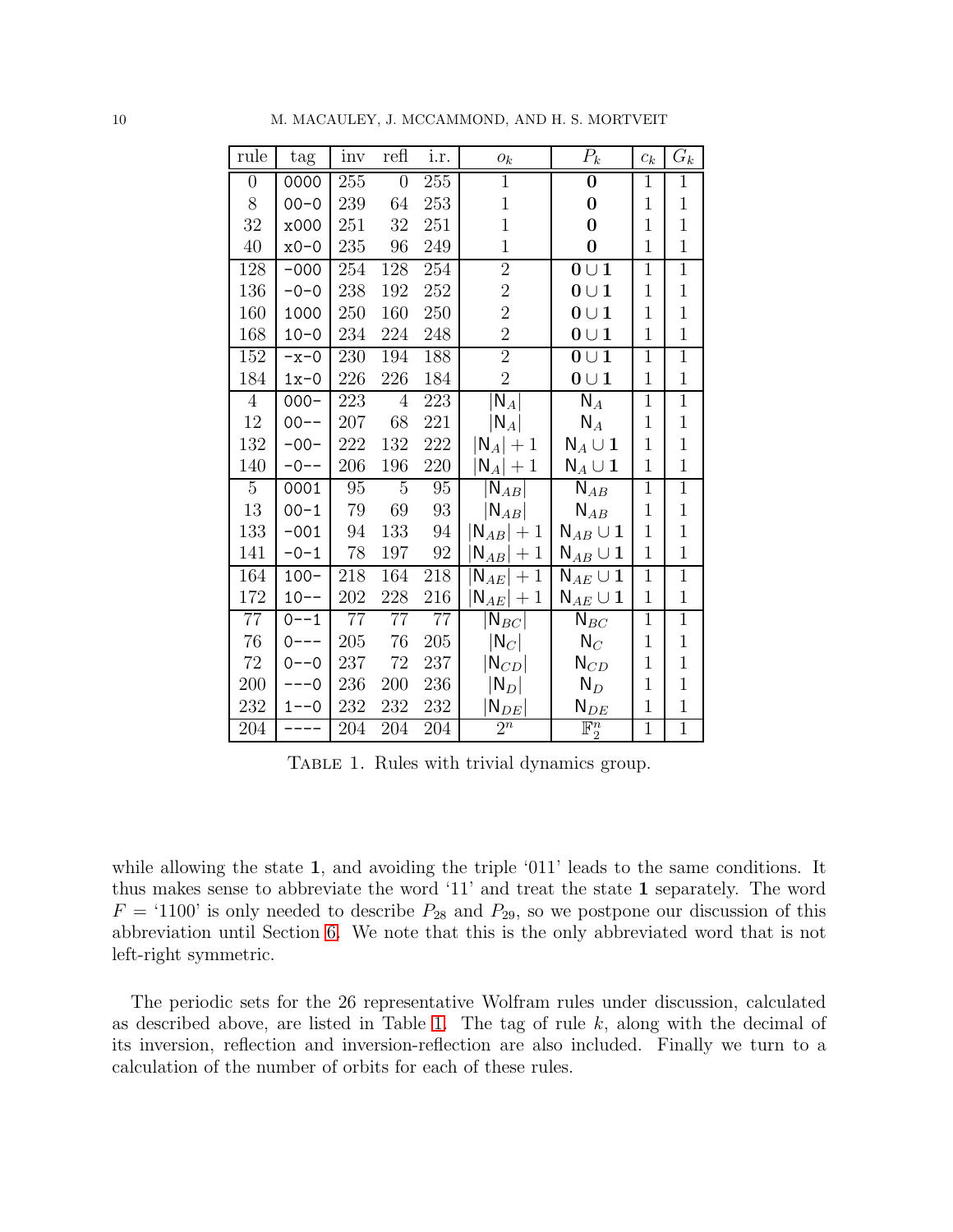| rule           | tag      | inv | refl           | i.r. | ${\mathcal O}_k$                        | $\overline{P}_k$                  | $c_k$        | $\overline{G_k}$ |
|----------------|----------|-----|----------------|------|-----------------------------------------|-----------------------------------|--------------|------------------|
| $\overline{0}$ | 0000     | 255 | $\overline{0}$ | 255  | $\mathbf{1}$                            | $\bf{0}$                          | $\mathbf{1}$ | $\mathbf{1}$     |
| 8              | $00 - 0$ | 239 | 64             | 253  | $\mathbf 1$                             | $\bf{0}$                          | $\mathbf{1}$ | $\mathbf{1}$     |
| 32             | x000     | 251 | 32             | 251  | $\mathbf{1}$                            | $\bf{0}$                          | $\mathbf{1}$ | $\mathbf{1}$     |
| $40\,$         | $x0-0$   | 235 | 96             | 249  | $\mathbf{1}$                            | $\bf{0}$                          | $\mathbf{1}$ | $\mathbf{1}$     |
| 128            | $-000$   | 254 | 128            | 254  | $\overline{2}$                          | $0 \cup 1$                        | $\mathbf{1}$ | $\mathbf{1}$     |
| 136            | $-0-0$   | 238 | 192            | 252  | $\overline{2}$                          | $0 \cup 1$                        | $\mathbf{1}$ | $\mathbf 1$      |
| 160            | 1000     | 250 | 160            | 250  | $\overline{2}$                          | $0 \cup 1$                        | $\mathbf{1}$ | $\mathbf{1}$     |
| 168            | $10 - 0$ | 234 | 224            | 248  | $\overline{2}$                          | $0 \cup 1$                        | $\mathbf{1}$ | $\mathbf{1}$     |
| 152            | $-x-0$   | 230 | 194            | 188  | $\overline{2}$                          | $0 \cup 1$                        | $\mathbf 1$  | $\mathbf{1}$     |
| 184            | $1x-0$   | 226 | 226            | 184  | $\overline{2}$                          | $0 \cup 1$                        | $\mathbf{1}$ | $\mathbf{1}$     |
| $\overline{4}$ | $000 -$  | 223 | $\overline{4}$ | 223  | $\overline{\mathsf{N}}_A $              | $\overline{\mathsf{N}}_A$         | $\mathbf{1}$ | $\overline{1}$   |
| $12\,$         | $00--$   | 207 | 68             | 221  | $ N_A $                                 | $N_A$                             | $\mathbf{1}$ | $\mathbf{1}$     |
| 132            | $-00-$   | 222 | 132            | 222  | $ N_A  + 1$                             | $N_A \cup 1$                      | $\mathbf{1}$ | $\mathbf{1}$     |
| 140            | $-0--$   | 206 | 196            | 220  | $N_A  + 1$                              | $N_A \cup 1$                      | $\mathbf{1}$ | $\mathbf{1}$     |
| $\overline{5}$ | 0001     | 95  | $\overline{5}$ | 95   | $\left\vert \mathsf{N}_{AB}\right\vert$ | $\overline{\mathsf{N}}_{AB}$      | $\mathbf{1}$ | $\overline{1}$   |
| 13             | $00 - 1$ | 79  | 69             | 93   | $ {\mathsf N}_{AB} $                    | $\mathsf{N}_{AB}$                 | $\mathbf{1}$ | $\mathbf{1}$     |
| 133            | $-001$   | 94  | 133            | 94   | $N_{AB} +1$                             | $\mathsf{N}_{AB}\cup \mathbf{1}$  | $\mathbf{1}$ | $\mathbf 1$      |
| 141            | $-0-1$   | 78  | 197            | 92   | $\mathsf{N}_{AB} +1$                    | $\mathsf{N}_{AB}\cup \mathbf{1}$  | $\mathbf{1}$ | $\mathbf{1}$     |
| 164            | $100 -$  | 218 | 164            | 218  | $\mathsf{N}_{AE} +1$                    | $\mathsf{N}_{AE} \cup \mathsf{1}$ | $\mathbf{1}$ | $\mathbf{1}$     |
| 172            | $10--$   | 202 | 228            | 216  | $N_{AE}$ + 1                            | $\mathsf{N}_{AE} \cup \mathbf{1}$ | $\mathbf{1}$ | $\mathbf{1}$     |
| 77             | $0 - -1$ | 77  | $77\,$         | 77   | $\lceil\mathsf{N}_{BC}\rceil$           | $N_{BC}$                          | $\mathbf{1}$ | $\mathbf 1$      |
| 76             | $0---$   | 205 | 76             | 205  | $ N_C $                                 | $N_C$                             | $\mathbf{1}$ | $\mathbf 1$      |
| $72\,$         | $0 - -0$ | 237 | $72\,$         | 237  | $ {\mathsf N}_{CD} $                    | $N_{CD}$                          | $\mathbf{1}$ | $\mathbf 1$      |
| 200            | $---0$   | 236 | 200            | 236  | $ N_D $                                 | $N_D$                             | $\mathbf{1}$ | $\mathbf{1}$     |
| 232            | $1 - -0$ | 232 | 232            | 232  | $N_{DE}$                                | $\mathsf{N}_{DE}$                 | $\mathbf{1}$ | $\mathbf{1}$     |
| 204            |          | 204 | 204            | 204  | $\overline{2^n}$                        | $\mathbb{F}_2^n$                  | $\mathbf{1}$ | $\overline{1}$   |

<span id="page-10-0"></span>TABLE 1. Rules with trivial dynamics group.

while allowing the state 1, and avoiding the triple '011' leads to the same conditions. It thus makes sense to abbreviate the word '11' and treat the state 1 separately. The word  $F = '1100'$  is only needed to describe  $P_{28}$  and  $P_{29}$ , so we postpone our discussion of this abbreviation until Section [6.](#page-19-0) We note that this is the only abbreviated word that is not left-right symmetric.

The periodic sets for the 26 representative Wolfram rules under discussion, calculated as described above, are listed in Table [1.](#page-10-0) The tag of rule  $k$ , along with the decimal of its inversion, reflection and inversion-reflection are also included. Finally we turn to a calculation of the number of orbits for each of these rules.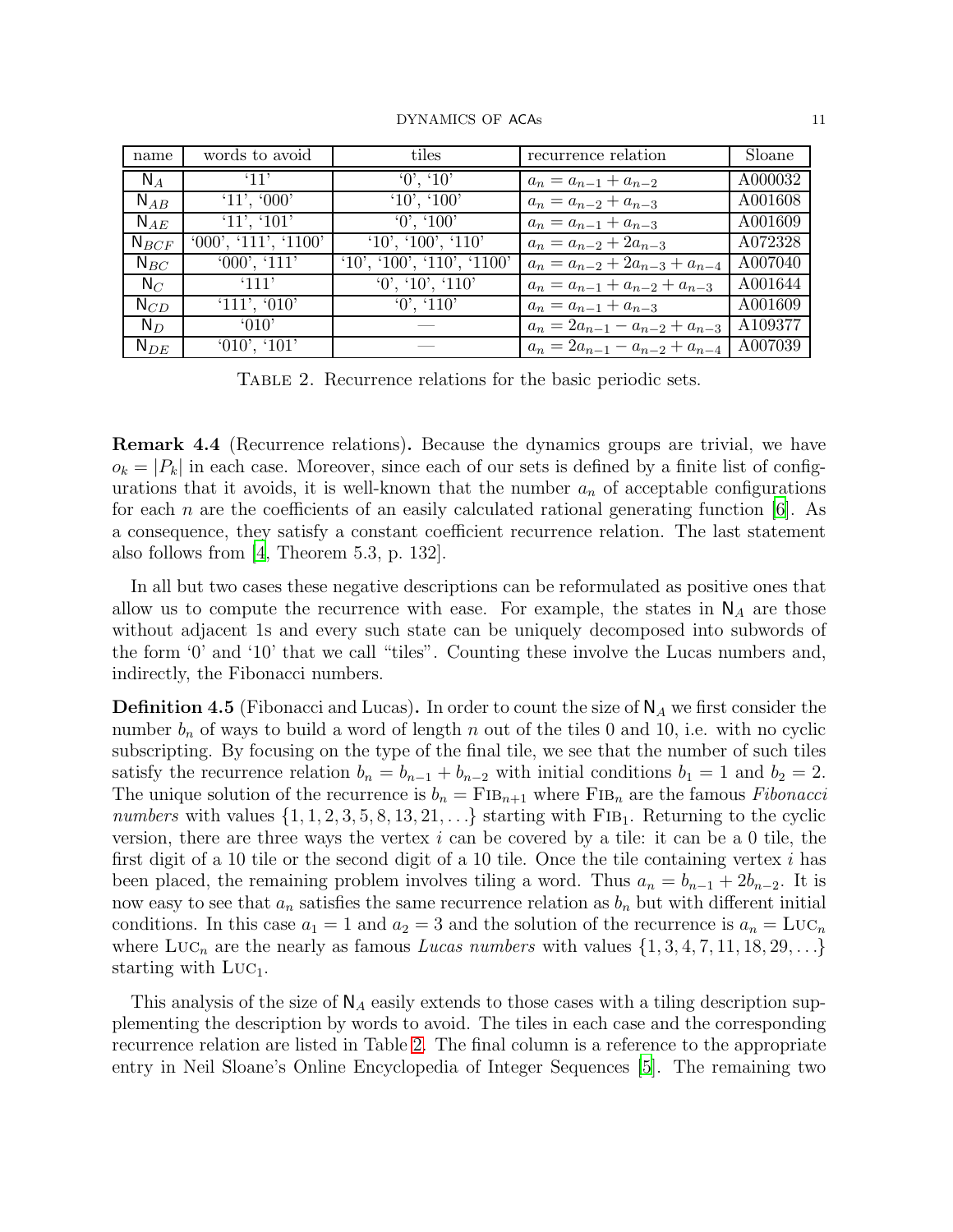| name      | words to avoid       | tiles                   | recurrence relation                  | Sloane  |
|-----------|----------------------|-------------------------|--------------------------------------|---------|
| $N_A$     | '11'                 | 0', 10'                 | $a_n = a_{n-1} + a_{n-2}$            | A000032 |
| $N_{AB}$  | '11', '000'          | '10', '100'             | $a_n = a_{n-2} + a_{n-3}$            | A001608 |
| $N_{AE}$  | '11', '101'          | '0', '100'              | $a_n = a_{n-1} + a_{n-3}$            | A001609 |
| $N_{BCF}$ | '000', '111', '1100' | '10', '100', '110'      | $a_n = a_{n-2} + 2a_{n-3}$           | A072328 |
| $N_{BC}$  | '000', '111'         | (10', 100', 110', 1100) | $a_n = a_{n-2} + 2a_{n-3} + a_{n-4}$ | A007040 |
| $N_C$     | '111'                | 0', 10', 110'           | $a_n = a_{n-1} + a_{n-2} + a_{n-3}$  | A001644 |
| $N_{CD}$  | '111', '010'         | 0, 110                  | $a_n = a_{n-1} + a_{n-3}$            | A001609 |
| $N_D$     | 010'                 |                         | $a_n = 2a_{n-1} - a_{n-2} + a_{n-3}$ | A109377 |
| $N_{DE}$  | '010', '101'         |                         | $a_n = 2a_{n-1} - a_{n-2} + a_{n-4}$ | A007039 |

<span id="page-11-0"></span>Table 2. Recurrence relations for the basic periodic sets.

Remark 4.4 (Recurrence relations). Because the dynamics groups are trivial, we have  $o_k = |P_k|$  in each case. Moreover, since each of our sets is defined by a finite list of configurations that it avoids, it is well-known that the number  $a_n$  of acceptable configurations for each n are the coefficients of an easily calculated rational generating function  $|6|$ . As a consequence, they satisfy a constant coefficient recurrence relation. The last statement also follows from  $\vert 4$ , Theorem 5.3, p. 132.

In all but two cases these negative descriptions can be reformulated as positive ones that allow us to compute the recurrence with ease. For example, the states in  $N_A$  are those without adjacent 1s and every such state can be uniquely decomposed into subwords of the form '0' and '10' that we call "tiles". Counting these involve the Lucas numbers and, indirectly, the Fibonacci numbers.

<span id="page-11-1"></span>**Definition 4.5** (Fibonacci and Lucas). In order to count the size of  $\mathsf{N}_A$  we first consider the number  $b_n$  of ways to build a word of length n out of the tiles 0 and 10, i.e. with no cyclic subscripting. By focusing on the type of the final tile, we see that the number of such tiles satisfy the recurrence relation  $b_n = b_{n-1} + b_{n-2}$  with initial conditions  $b_1 = 1$  and  $b_2 = 2$ . The unique solution of the recurrence is  $b_n = \text{FIB}_{n+1}$  where  $\text{FIB}_n$  are the famous *Fibonacci* numbers with values  $\{1, 1, 2, 3, 5, 8, 13, 21, \ldots\}$  starting with FIB<sub>1</sub>. Returning to the cyclic version, there are three ways the vertex  $i$  can be covered by a tile: it can be a 0 tile, the first digit of a 10 tile or the second digit of a 10 tile. Once the tile containing vertex i has been placed, the remaining problem involves tiling a word. Thus  $a_n = b_{n-1} + 2b_{n-2}$ . It is now easy to see that  $a_n$  satisfies the same recurrence relation as  $b_n$  but with different initial conditions. In this case  $a_1 = 1$  and  $a_2 = 3$  and the solution of the recurrence is  $a_n = \text{Luc}_n$ where  $LUC_n$  are the nearly as famous *Lucas numbers* with values  $\{1, 3, 4, 7, 11, 18, 29, \ldots\}$ starting with  $LUC_1$ .

This analysis of the size of  $N_A$  easily extends to those cases with a tiling description supplementing the description by words to avoid. The tiles in each case and the corresponding recurrence relation are listed in Table [2.](#page-11-0) The final column is a reference to the appropriate entry in Neil Sloane's Online Encyclopedia of Integer Sequences [\[5\]](#page-23-5). The remaining two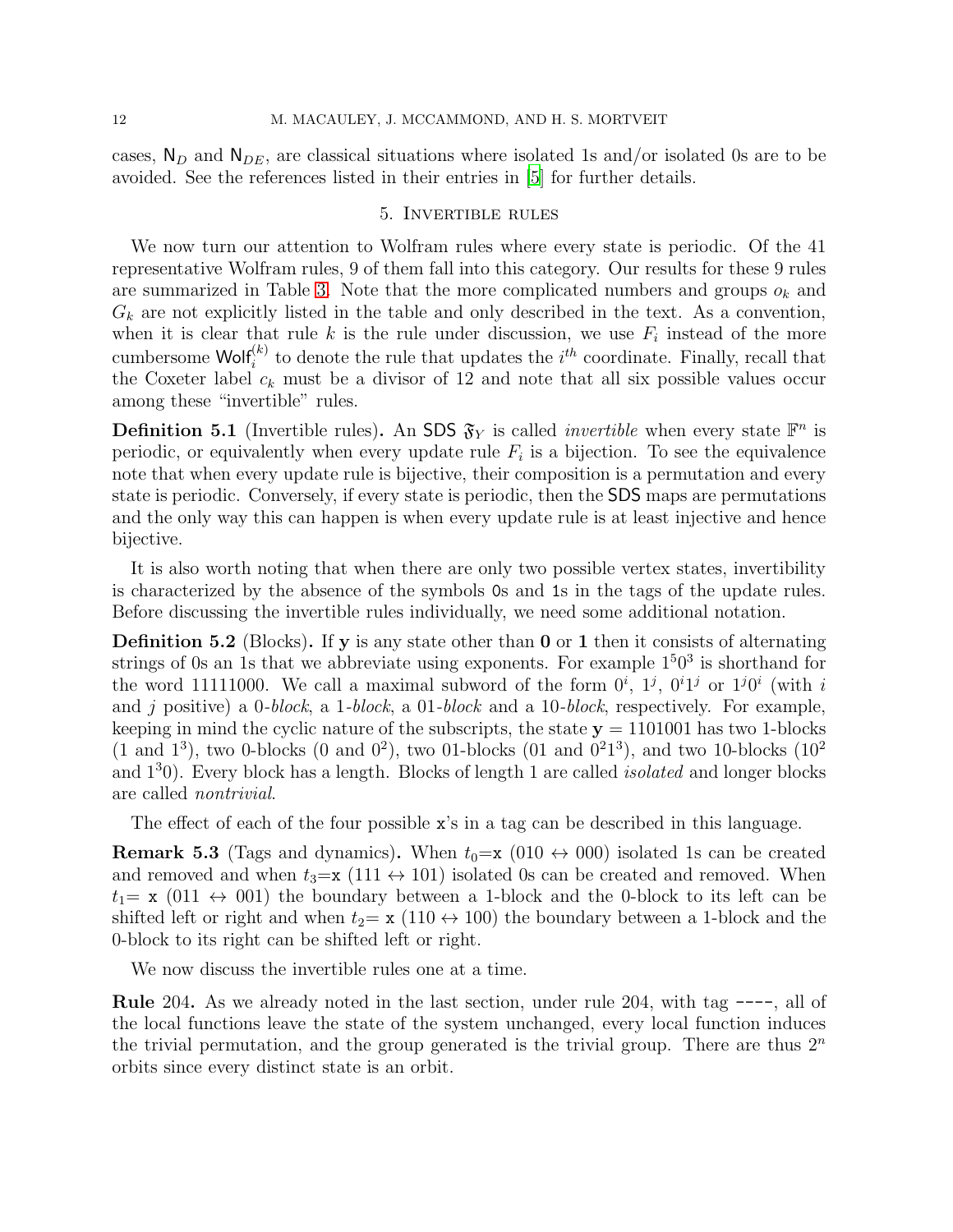<span id="page-12-0"></span>cases,  $N_D$  and  $N_{DE}$ , are classical situations where isolated 1s and/or isolated 0s are to be avoided. See the references listed in their entries in [\[5\]](#page-23-5) for further details.

#### 5. Invertible rules

We now turn our attention to Wolfram rules where every state is periodic. Of the 41 representative Wolfram rules, 9 of them fall into this category. Our results for these 9 rules are summarized in Table [3.](#page-13-0) Note that the more complicated numbers and groups  $o_k$  and  $G_k$  are not explicitly listed in the table and only described in the text. As a convention, when it is clear that rule k is the rule under discussion, we use  $F_i$  instead of the more cumbersome  $\textsf{Wolf}_{i}^{(k)}$  to denote the rule that updates the  $i^{th}$  coordinate. Finally, recall that the Coxeter label  $c_k$  must be a divisor of 12 and note that all six possible values occur among these "invertible" rules.

<span id="page-12-1"></span>**Definition 5.1** (Invertible rules). An SDS  $\mathfrak{F}_Y$  is called *invertible* when every state  $\mathbb{F}^n$  is periodic, or equivalently when every update rule  $F_i$  is a bijection. To see the equivalence note that when every update rule is bijective, their composition is a permutation and every state is periodic. Conversely, if every state is periodic, then the SDS maps are permutations and the only way this can happen is when every update rule is at least injective and hence bijective.

It is also worth noting that when there are only two possible vertex states, invertibility is characterized by the absence of the symbols 0s and 1s in the tags of the update rules. Before discussing the invertible rules individually, we need some additional notation.

Definition 5.2 (Blocks). If y is any state other than 0 or 1 then it consists of alternating strings of 0s an 1s that we abbreviate using exponents. For example  $1<sup>5</sup>0<sup>3</sup>$  is shorthand for the word 11111000. We call a maximal subword of the form  $0^i$ ,  $1^j$ ,  $0^i1^j$  or  $1^j0^i$  (with i and j positive) a 0-block, a 1-block, a 01-block and a 10-block, respectively. For example, keeping in mind the cyclic nature of the subscripts, the state  $y = 1101001$  has two 1-blocks  $(1 \text{ and } 1^3)$ , two 0-blocks  $(0 \text{ and } 0^2)$ , two 01-blocks  $(01 \text{ and } 0^21^3)$ , and two 10-blocks  $(10^2 \text{)}$ and  $1<sup>3</sup>0$ ). Every block has a length. Blocks of length 1 are called *isolated* and longer blocks are called nontrivial.

The effect of each of the four possible x's in a tag can be described in this language.

**Remark 5.3** (Tags and dynamics). When  $t_0=x$  (010  $\leftrightarrow$  000) isolated 1s can be created and removed and when  $t_3=x$  (111  $\leftrightarrow$  101) isolated 0s can be created and removed. When  $t_1=$  x (011  $\leftrightarrow$  001) the boundary between a 1-block and the 0-block to its left can be shifted left or right and when  $t_2 = x (110 \leftrightarrow 100)$  the boundary between a 1-block and the 0-block to its right can be shifted left or right.

We now discuss the invertible rules one at a time.

Rule 204. As we already noted in the last section, under rule 204, with tag ----, all of the local functions leave the state of the system unchanged, every local function induces the trivial permutation, and the group generated is the trivial group. There are thus  $2<sup>n</sup>$ orbits since every distinct state is an orbit.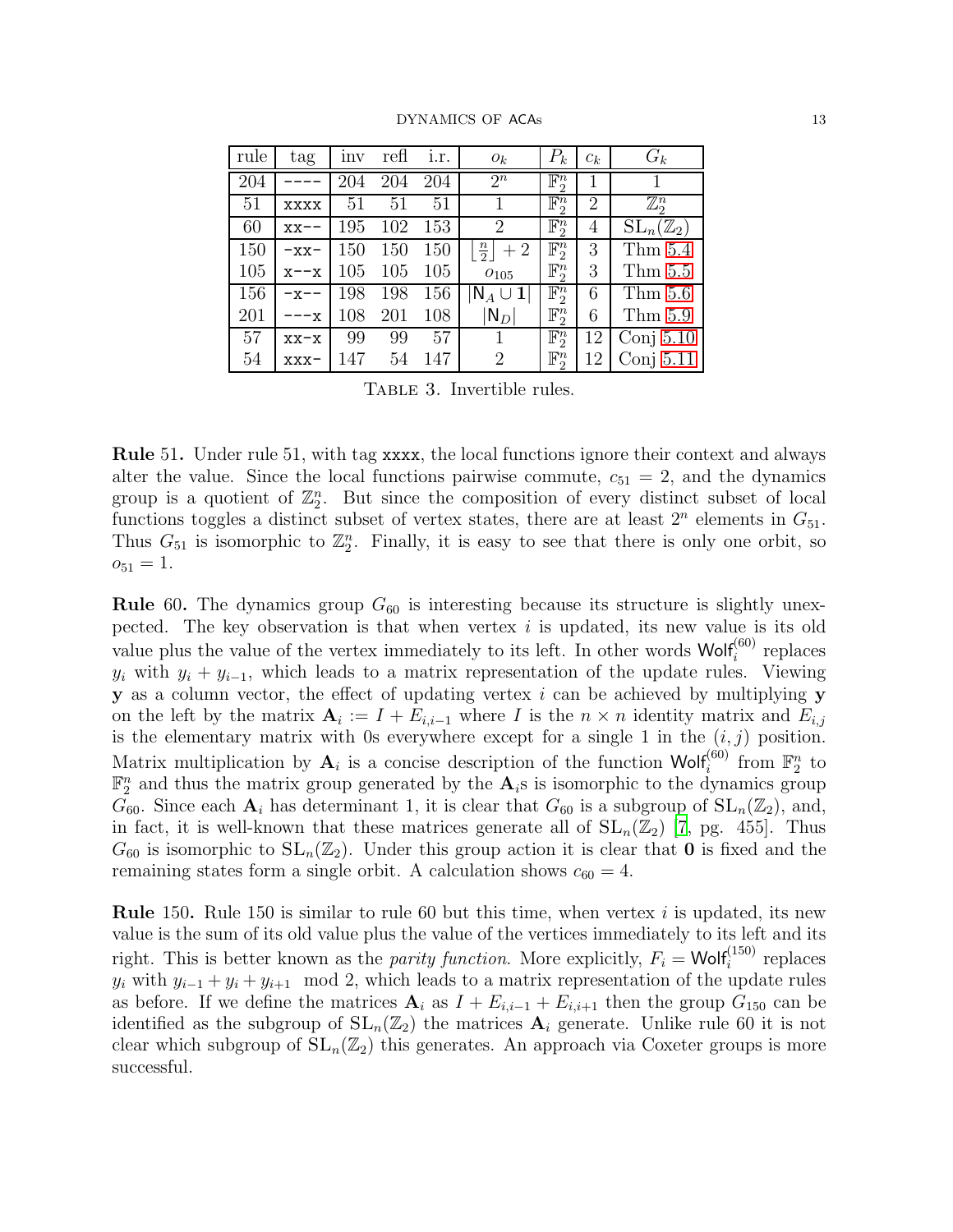| rule | tag        | inv | refl | i.r. | $O_k$                         | $P_k$            | $c_k$          | $G_k$                         |
|------|------------|-----|------|------|-------------------------------|------------------|----------------|-------------------------------|
| 204  |            | 204 | 204  | 204  | $2^n$                         | $\mathbb{F}_2^n$ |                |                               |
| 51   | xxxx       | 51  | 51   | 51   |                               | $\mathbb{F}_2^n$ | $\overline{2}$ | $\mathbb{Z}_2^n$              |
| 60   | $xx--$     | 195 | 102  | 153  | $\overline{2}$                | $\mathbb{F}_2^n$ | $\overline{4}$ | $\mathrm{SL}_n(\mathbb{Z}_2)$ |
| 150  | $-xx-$     | 150 | 150  | 150  | $\frac{n}{2}$<br>$+2$         | $\mathbb{F}_2^n$ | 3              | Thm $5.4$                     |
| 105  | $x$ - $-x$ | 105 | 105  | 105  | $O_{105}$                     | $\mathbb{F}_2^n$ | 3              | Thm $5.5$                     |
| 156  | $-x--$     | 198 | 198  | 156  | $ {\sf N}_A \cup \mathbf{1} $ | $\mathbb{F}_2^n$ | 6              | Thm $5.6$                     |
| 201  | --x        | 108 | 201  | 108  | $ {\mathsf N}_D $             | $\mathbb{F}_2^n$ | 6              | Thm 5.9                       |
| 57   | $XX-X$     | 99  | 99   | 57   |                               | $\mathbb{F}_2^n$ | 12             | Conj $5.10$                   |
| 54   | $XXX -$    | 147 | 54   | 147  | $\overline{2}$                | $\mathbb{F}_2^n$ | 12             | Conj $5.11$                   |

<span id="page-13-0"></span>TABLE 3. Invertible rules.

Rule 51. Under rule 51, with tag xxxx, the local functions ignore their context and always alter the value. Since the local functions pairwise commute,  $c_{51} = 2$ , and the dynamics group is a quotient of  $\mathbb{Z}_2^n$ . But since the composition of every distinct subset of local functions toggles a distinct subset of vertex states, there are at least  $2^n$  elements in  $G_{51}$ . Thus  $G_{51}$  is isomorphic to  $\mathbb{Z}_2^n$ . Finally, it is easy to see that there is only one orbit, so  $o_{51} = 1.$ 

**Rule** 60. The dynamics group  $G_{60}$  is interesting because its structure is slightly unexpected. The key observation is that when vertex  $i$  is updated, its new value is its old value plus the value of the vertex immediately to its left. In other words  $Wolf_i^{(60)}$  replaces  $y_i$  with  $y_i + y_{i-1}$ , which leads to a matrix representation of the update rules. Viewing **y** as a column vector, the effect of updating vertex  $i$  can be achieved by multiplying **y** on the left by the matrix  $\mathbf{A}_i := I + E_{i,i-1}$  where I is the  $n \times n$  identity matrix and  $E_{i,j}$ is the elementary matrix with 0s everywhere except for a single 1 in the  $(i, j)$  position. Matrix multiplication by  $A_i$  is a concise description of the function Wolf<sup>(60)</sup> from  $\mathbb{F}_2^n$  to  $\mathbb{F}_2^n$  and thus the matrix group generated by the  $\mathbf{A}_i$ s is isomorphic to the dynamics group  $G_{60}$ . Since each  $\mathbf{A}_i$  has determinant 1, it is clear that  $G_{60}$  is a subgroup of  $SL_n(\mathbb{Z}_2)$ , and, in fact, it is well-known that these matrices generate all of  $SL_n(\mathbb{Z}_2)$  [\[7,](#page-23-6) pg. 455]. Thus  $G_{60}$  is isomorphic to  $SL_n(\mathbb{Z}_2)$ . Under this group action it is clear that **0** is fixed and the remaining states form a single orbit. A calculation shows  $c_{60} = 4$ .

**Rule** 150. Rule 150 is similar to rule 60 but this time, when vertex i is updated, its new value is the sum of its old value plus the value of the vertices immediately to its left and its right. This is better known as the *parity function*. More explicitly,  $F_i = \text{Wolf}_i^{(150)}$  replaces  $y_i$  with  $y_{i-1} + y_i + y_{i+1} \mod 2$ , which leads to a matrix representation of the update rules as before. If we define the matrices  $A_i$  as  $I + E_{i,i-1} + E_{i,i+1}$  then the group  $G_{150}$  can be identified as the subgroup of  $SL_n(\mathbb{Z}_2)$  the matrices  $A_i$  generate. Unlike rule 60 it is not clear which subgroup of  $SL_n(\mathbb{Z}_2)$  this generates. An approach via Coxeter groups is more successful.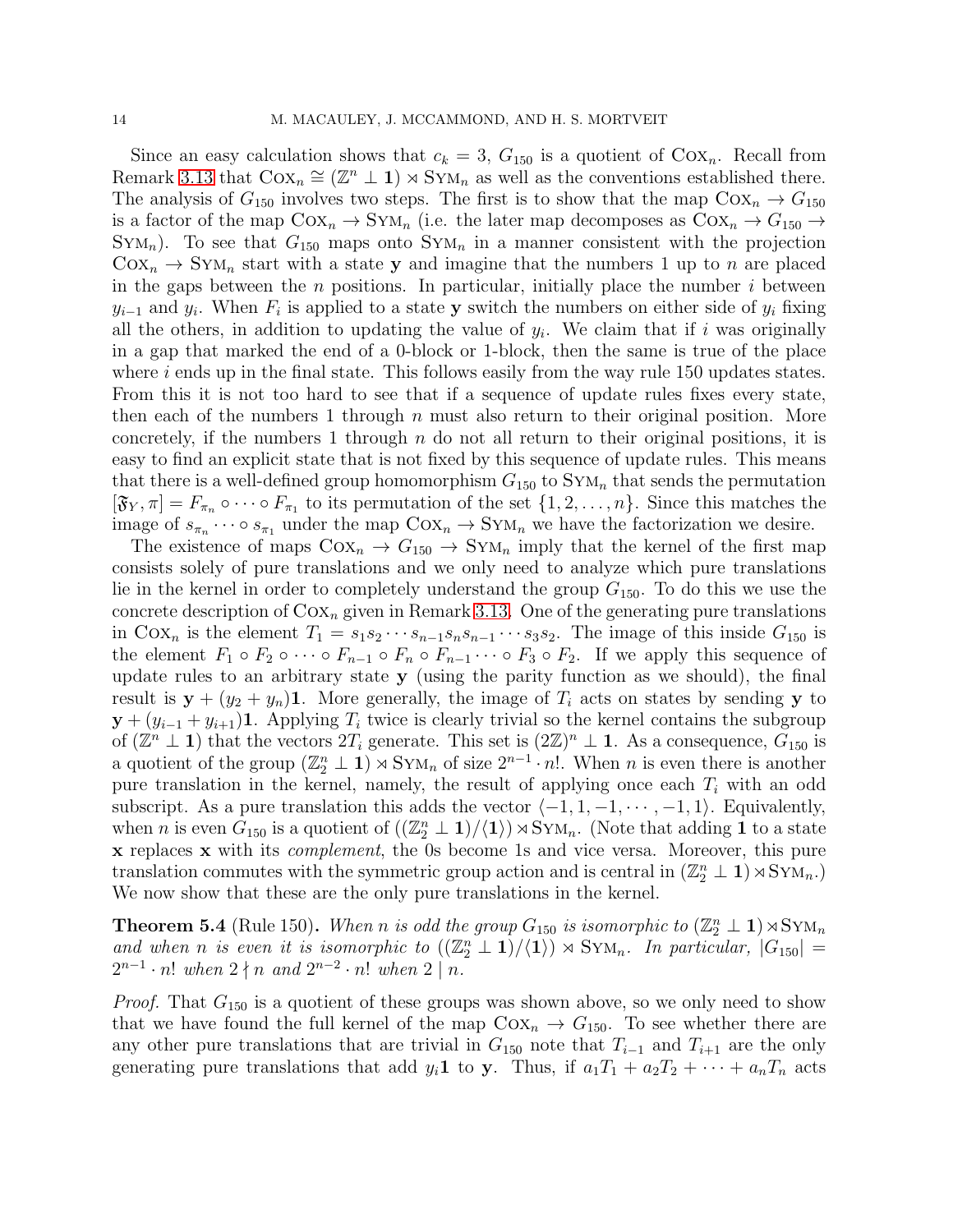Since an easy calculation shows that  $c_k = 3$ ,  $G_{150}$  is a quotient of  $Cox_n$ . Recall from Remark [3.13](#page-8-0) that  $Cox_n \cong (\mathbb{Z}^n \perp \mathbf{1}) \rtimes Sym_n$  as well as the conventions established there. The analysis of  $G_{150}$  involves two steps. The first is to show that the map  $Cox_n \rightarrow G_{150}$ is a factor of the map  $Cox_n \to Sym$  (i.e. the later map decomposes as  $Cox_n \to G_{150} \to$  $Sym_n$ . To see that  $G_{150}$  maps onto  $Sym_n$  in a manner consistent with the projection  $\text{Cox}_n \to \text{Sym}_n$  start with a state y and imagine that the numbers 1 up to n are placed in the gaps between the *n* positions. In particular, initially place the number  $i$  between  $y_{i-1}$  and  $y_i$ . When  $F_i$  is applied to a state y switch the numbers on either side of  $y_i$  fixing all the others, in addition to updating the value of  $y_i$ . We claim that if i was originally in a gap that marked the end of a 0-block or 1-block, then the same is true of the place where  $i$  ends up in the final state. This follows easily from the way rule 150 updates states. From this it is not too hard to see that if a sequence of update rules fixes every state, then each of the numbers 1 through  $n$  must also return to their original position. More concretely, if the numbers 1 through  $n$  do not all return to their original positions, it is easy to find an explicit state that is not fixed by this sequence of update rules. This means that there is a well-defined group homomorphism  $G_{150}$  to  $Sym_n$  that sends the permutation  $[\mathfrak{F}_{Y}, \pi] = F_{\pi_n} \circ \cdots \circ F_{\pi_1}$  to its permutation of the set  $\{1, 2, \ldots, n\}$ . Since this matches the image of  $s_{\pi_n} \cdots \circ s_{\pi_1}$  under the map  $\text{Cox}_n \to \text{Sym}_n$  we have the factorization we desire.

The existence of maps  $\text{Cox}_n \rightarrow G_{150} \rightarrow \text{SYM}_n$  imply that the kernel of the first map consists solely of pure translations and we only need to analyze which pure translations lie in the kernel in order to completely understand the group  $G_{150}$ . To do this we use the concrete description of  $Cox_n$  given in Remark [3.13.](#page-8-0) One of the generating pure translations in  $Cox_n$  is the element  $T_1 = s_1s_2\cdots s_{n-1}s_ns_{n-1}\cdots s_3s_2$ . The image of this inside  $G_{150}$  is the element  $F_1 \circ F_2 \circ \cdots \circ F_{n-1} \circ F_n \circ F_{n-1} \cdots \circ F_3 \circ F_2$ . If we apply this sequence of update rules to an arbitrary state  $y$  (using the parity function as we should), the final result is  $y + (y_2 + y_n)$ 1. More generally, the image of  $T_i$  acts on states by sending y to  $y + (y_{i-1} + y_{i+1})$ 1. Applying  $T_i$  twice is clearly trivial so the kernel contains the subgroup of  $(\mathbb{Z}^n \perp \mathbf{1})$  that the vectors  $2T_i$  generate. This set is  $(2\mathbb{Z})^n \perp \mathbf{1}$ . As a consequence,  $G_{150}$  is a quotient of the group  $(\mathbb{Z}_2^n \perp \mathbf{1}) \rtimes \text{Sym}_n$  of size  $2^{n-1} \cdot n!$ . When n is even there is another pure translation in the kernel, namely, the result of applying once each  $T_i$  with an odd subscript. As a pure translation this adds the vector  $\langle -1, 1, -1, \cdots, -1, 1 \rangle$ . Equivalently, when *n* is even  $G_{150}$  is a quotient of  $((\mathbb{Z}_2^n \perp 1)/\langle 1 \rangle) \rtimes Sym$ . (Note that adding 1 to a state x replaces x with its complement, the 0s become 1s and vice versa. Moreover, this pure translation commutes with the symmetric group action and is central in  $(\mathbb{Z}_2^n \perp \mathbf{1}) \rtimes \text{Sym}_n$ . We now show that these are the only pure translations in the kernel.

<span id="page-14-0"></span>**Theorem 5.4** (Rule 150). When n is odd the group  $G_{150}$  is isomorphic to  $(\mathbb{Z}_2^n \perp \mathbf{1}) \rtimes \text{Sym}_n$ and when n is even it is isomorphic to  $((\mathbb{Z}_2^n \perp 1)/\langle 1 \rangle) \rtimes Sym$ . In particular,  $|G_{150}|$  =  $2^{n-1} \cdot n!$  when  $2 \nmid n$  and  $2^{n-2} \cdot n!$  when  $2 \nmid n$ .

*Proof.* That  $G_{150}$  is a quotient of these groups was shown above, so we only need to show that we have found the full kernel of the map  $\text{Cox}_n \rightarrow G_{150}$ . To see whether there are any other pure translations that are trivial in  $G_{150}$  note that  $T_{i-1}$  and  $T_{i+1}$  are the only generating pure translations that add  $y_i \mathbf{1}$  to y. Thus, if  $a_1T_1 + a_2T_2 + \cdots + a_nT_n$  acts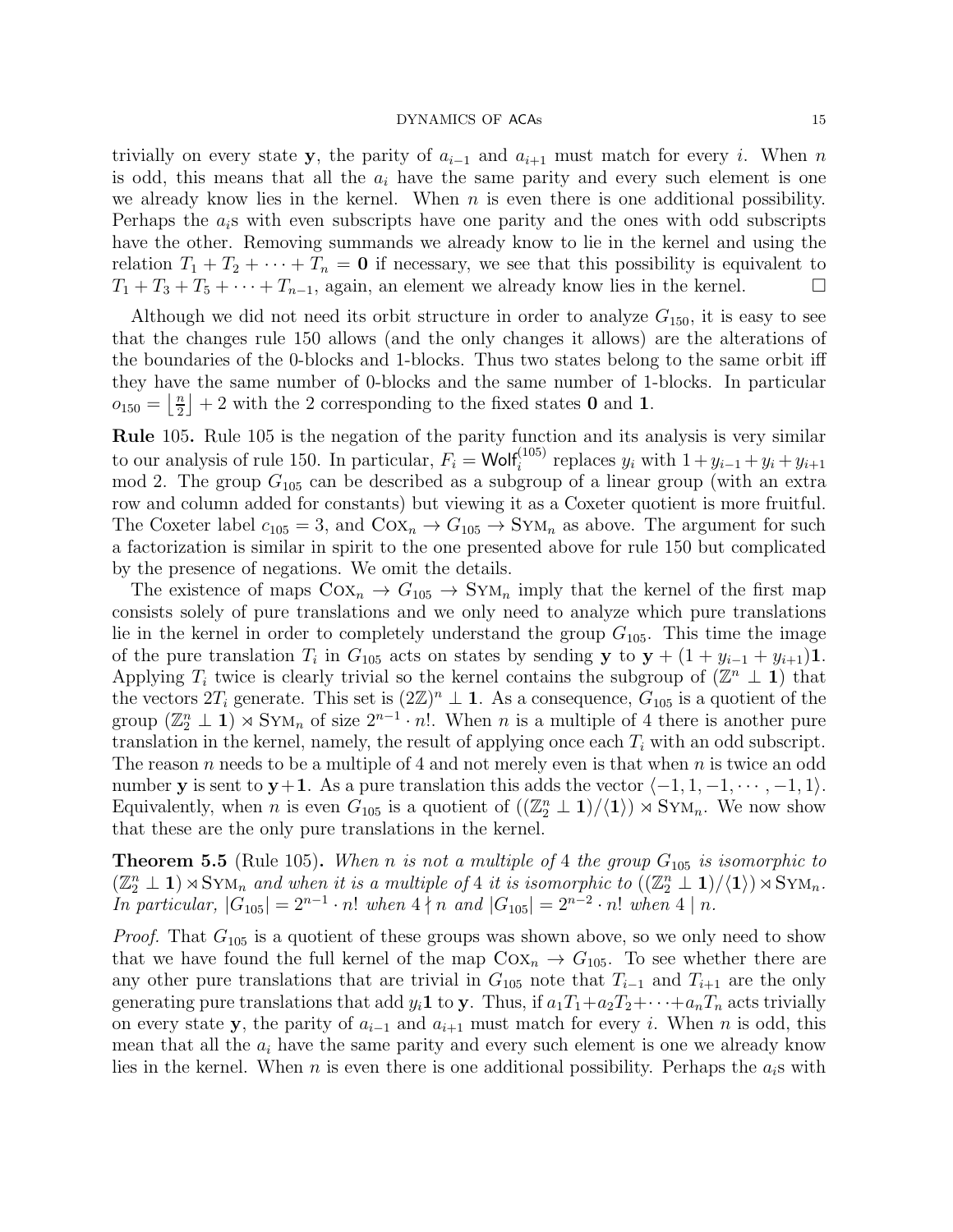trivially on every state y, the parity of  $a_{i-1}$  and  $a_{i+1}$  must match for every i. When n is odd, this means that all the  $a_i$  have the same parity and every such element is one we already know lies in the kernel. When  $n$  is even there is one additional possibility. Perhaps the  $a_i$ s with even subscripts have one parity and the ones with odd subscripts have the other. Removing summands we already know to lie in the kernel and using the relation  $T_1 + T_2 + \cdots + T_n = 0$  if necessary, we see that this possibility is equivalent to  $T_1 + T_3 + T_5 + \cdots + T_{n-1}$ , again, an element we already know lies in the kernel.

Although we did not need its orbit structure in order to analyze  $G_{150}$ , it is easy to see that the changes rule 150 allows (and the only changes it allows) are the alterations of the boundaries of the 0-blocks and 1-blocks. Thus two states belong to the same orbit iff they have the same number of 0-blocks and the same number of 1-blocks. In particular  $o_{150} = \left\lfloor \frac{n}{2} \right\rfloor$  $\frac{n}{2}$  + 2 with the 2 corresponding to the fixed states **0** and **1**.

Rule 105. Rule 105 is the negation of the parity function and its analysis is very similar to our analysis of rule 150. In particular,  $F_i = \text{Wolf}_i^{(105)}$  replaces  $y_i$  with  $1 + y_{i-1} + y_i + y_{i+1}$ mod 2. The group  $G_{105}$  can be described as a subgroup of a linear group (with an extra row and column added for constants) but viewing it as a Coxeter quotient is more fruitful. The Coxeter label  $c_{105} = 3$ , and  $Cox_n \rightarrow G_{105} \rightarrow Sym_n$  as above. The argument for such a factorization is similar in spirit to the one presented above for rule 150 but complicated by the presence of negations. We omit the details.

The existence of maps  $\text{Cox}_n \rightarrow G_{105} \rightarrow \text{Sym}_n$  imply that the kernel of the first map consists solely of pure translations and we only need to analyze which pure translations lie in the kernel in order to completely understand the group  $G_{105}$ . This time the image of the pure translation  $T_i$  in  $G_{105}$  acts on states by sending y to  $y + (1 + y_{i-1} + y_{i+1})$ 1. Applying  $T_i$  twice is clearly trivial so the kernel contains the subgroup of  $(\mathbb{Z}^n \perp \mathbf{1})$  that the vectors  $2T_i$  generate. This set is  $(2\mathbb{Z})^n \perp \mathbf{1}$ . As a consequence,  $G_{105}$  is a quotient of the group  $(\mathbb{Z}_2^n \perp \mathbf{1}) \rtimes Sym_n$  of size  $2^{n-1} \cdot n!$ . When n is a multiple of 4 there is another pure translation in the kernel, namely, the result of applying once each  $T_i$  with an odd subscript. The reason n needs to be a multiple of 4 and not merely even is that when n is twice an odd number y is sent to y+1. As a pure translation this adds the vector  $\langle -1, 1, -1, \cdots, -1, 1 \rangle$ . Equivalently, when *n* is even  $G_{105}$  is a quotient of  $((\mathbb{Z}_2^n \perp 1)/\langle 1 \rangle) \rtimes Sym$ . We now show that these are the only pure translations in the kernel.

<span id="page-15-0"></span>**Theorem 5.5** (Rule 105). When n is not a multiple of 4 the group  $G_{105}$  is isomorphic to  $(\mathbb{Z}_2^n \perp 1) \rtimes \text{Sym}_n$  and when it is a multiple of 4 it is isomorphic to  $((\mathbb{Z}_2^n \perp 1)/\langle 1 \rangle) \rtimes \text{Sym}_n$ .  $\overline{\ln}$  particular,  $|\overline{G}_{105}| = 2^{n-1} \cdot n!$  when  $4 \nmid n$  and  $|G_{105}| = 2^{n-2} \cdot n!$  when  $4 \mid n$ .

*Proof.* That  $G_{105}$  is a quotient of these groups was shown above, so we only need to show that we have found the full kernel of the map  $Cox_n \rightarrow G_{105}$ . To see whether there are any other pure translations that are trivial in  $G_{105}$  note that  $T_{i-1}$  and  $T_{i+1}$  are the only generating pure translations that add  $y_i$ 1 to y. Thus, if  $a_1T_1+a_2T_2+\cdots+a_nT_n$  acts trivially on every state y, the parity of  $a_{i-1}$  and  $a_{i+1}$  must match for every i. When n is odd, this mean that all the  $a_i$  have the same parity and every such element is one we already know lies in the kernel. When n is even there is one additional possibility. Perhaps the  $a_i$ s with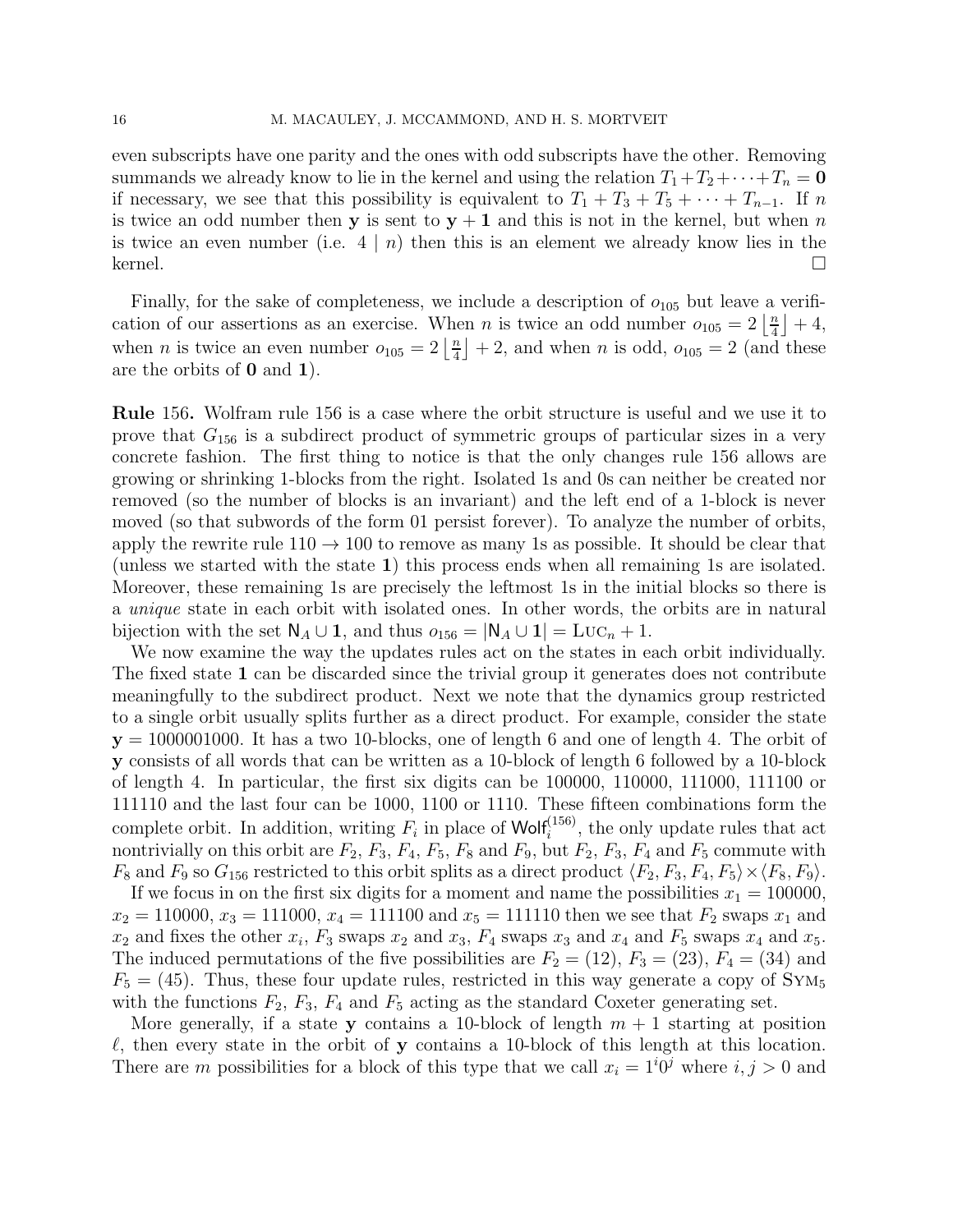even subscripts have one parity and the ones with odd subscripts have the other. Removing summands we already know to lie in the kernel and using the relation  $T_1+T_2+\cdots+T_n = 0$ if necessary, we see that this possibility is equivalent to  $T_1 + T_3 + T_5 + \cdots + T_{n-1}$ . If n is twice an odd number then y is sent to  $y + 1$  and this is not in the kernel, but when n is twice an even number (i.e.  $4 \mid n$ ) then this is an element we already know lies in the kernel.

Finally, for the sake of completeness, we include a description of  $o_{105}$  but leave a verification of our assertions as an exercise. When *n* is twice an odd number  $o_{105} = 2 \frac{n}{4}$  $\frac{n}{4}$  | + 4, when *n* is twice an even number  $o_{105} = 2 \left\lfloor \frac{n}{4} \right\rfloor$  $\frac{n}{4}$  + 2, and when *n* is odd,  $o_{105} = 2$  (and these are the orbits of 0 and 1).

Rule 156. Wolfram rule 156 is a case where the orbit structure is useful and we use it to prove that  $G_{156}$  is a subdirect product of symmetric groups of particular sizes in a very concrete fashion. The first thing to notice is that the only changes rule 156 allows are growing or shrinking 1-blocks from the right. Isolated 1s and 0s can neither be created nor removed (so the number of blocks is an invariant) and the left end of a 1-block is never moved (so that subwords of the form 01 persist forever). To analyze the number of orbits, apply the rewrite rule  $110 \rightarrow 100$  to remove as many 1s as possible. It should be clear that (unless we started with the state 1) this process ends when all remaining 1s are isolated. Moreover, these remaining 1s are precisely the leftmost 1s in the initial blocks so there is a unique state in each orbit with isolated ones. In other words, the orbits are in natural bijection with the set  $\mathsf{N}_A \cup \mathsf{1}$ , and thus  $o_{156} = |\mathsf{N}_A \cup \mathsf{1}| = \text{Luc}_n + 1$ .

We now examine the way the updates rules act on the states in each orbit individually. The fixed state 1 can be discarded since the trivial group it generates does not contribute meaningfully to the subdirect product. Next we note that the dynamics group restricted to a single orbit usually splits further as a direct product. For example, consider the state  $y = 1000001000$ . It has a two 10-blocks, one of length 6 and one of length 4. The orbit of y consists of all words that can be written as a 10-block of length 6 followed by a 10-block of length 4. In particular, the first six digits can be 100000, 110000, 111000, 111100 or 111110 and the last four can be 1000, 1100 or 1110. These fifteen combinations form the complete orbit. In addition, writing  $F_i$  in place of Wolf<sup> $(156)$ </sup>, the only update rules that act nontrivially on this orbit are  $F_2$ ,  $F_3$ ,  $F_4$ ,  $F_5$ ,  $F_8$  and  $F_9$ , but  $F_2$ ,  $F_3$ ,  $F_4$  and  $F_5$  commute with  $F_8$  and  $F_9$  so  $G_{156}$  restricted to this orbit splits as a direct product  $\langle F_2, F_3, F_4, F_5 \rangle \times \langle F_8, F_9 \rangle$ .

If we focus in on the first six digits for a moment and name the possibilities  $x_1 = 100000$ ,  $x_2 = 110000, x_3 = 111000, x_4 = 111100$  and  $x_5 = 111110$  then we see that  $F_2$  swaps  $x_1$  and  $x_2$  and fixes the other  $x_i$ ,  $F_3$  swaps  $x_2$  and  $x_3$ ,  $F_4$  swaps  $x_3$  and  $x_4$  and  $F_5$  swaps  $x_4$  and  $x_5$ . The induced permutations of the five possibilities are  $F_2 = (12)$ ,  $F_3 = (23)$ ,  $F_4 = (34)$  and  $F_5 = (45)$ . Thus, these four update rules, restricted in this way generate a copy of  $\text{Sym}_5$ with the functions  $F_2$ ,  $F_3$ ,  $F_4$  and  $F_5$  acting as the standard Coxeter generating set.

More generally, if a state y contains a 10-block of length  $m + 1$  starting at position  $\ell$ , then every state in the orbit of y contains a 10-block of this length at this location. There are m possibilities for a block of this type that we call  $x_i = 1^i 0^j$  where  $i, j > 0$  and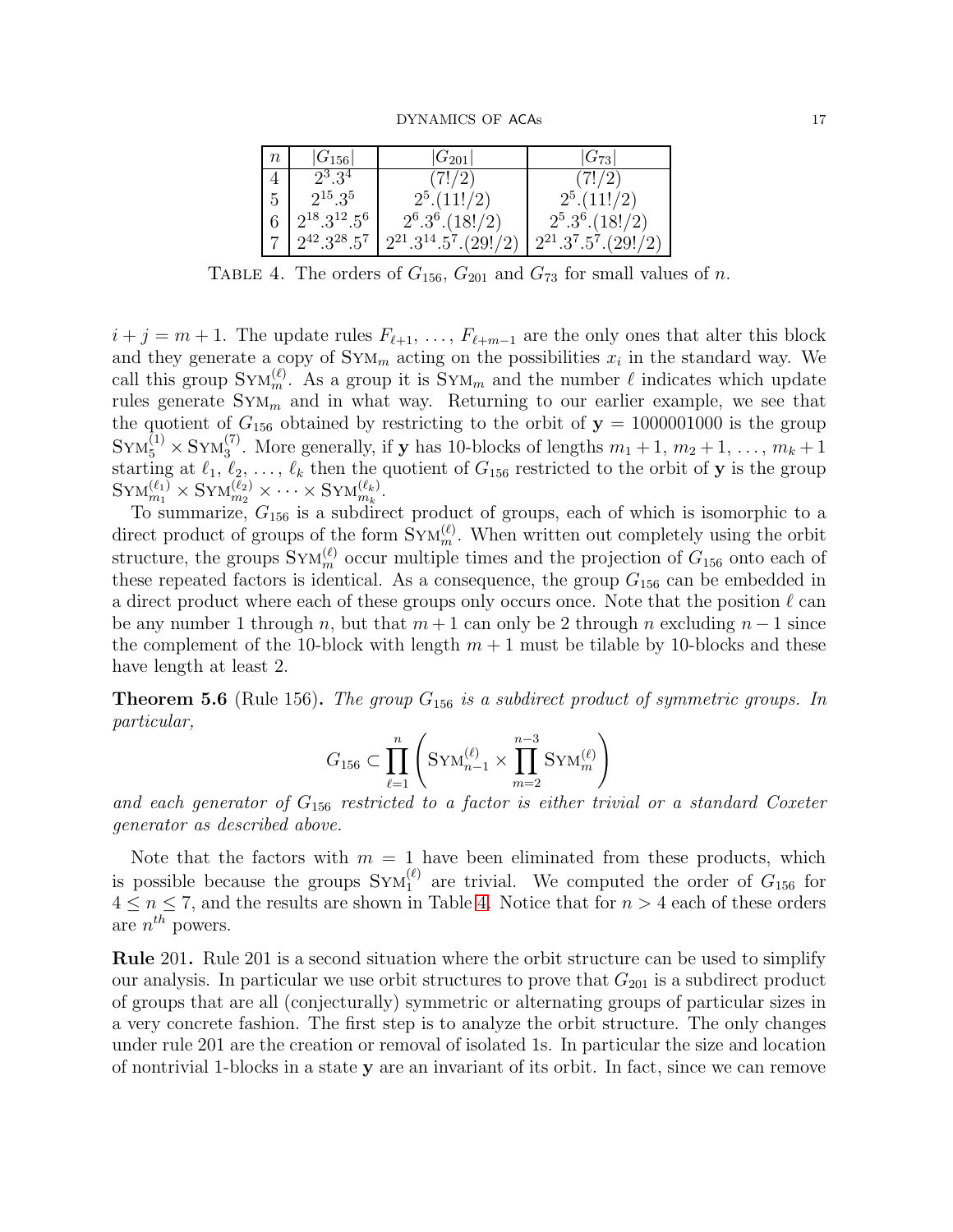DYNAMICS OF ACAs 17

| $\, n$ | $ G_{156} $         | $ G_{201} $                                                                     | $ G_{73} $                                 |
|--------|---------------------|---------------------------------------------------------------------------------|--------------------------------------------|
|        | $2^3.3^4$           | (7!/2)                                                                          | (7!/2)                                     |
| 5      | $2^{15} \cdot 3^5$  | $2^5.(11!/2)$                                                                   | $2^5.(11!/2)$                              |
| 6      | $2^{18}.3^{12}.5^6$ | $2^6 \cdot 3^6 \cdot (18!/2)$                                                   | $2^5 \cdot 3^6 \cdot (18!/2)$              |
|        |                     | $2^{42} \cdot 3^{28} \cdot 5^7$   $2^{21} \cdot 3^{14} \cdot 5^7 \cdot (29!/2)$ | $2^{21} \cdot 3^7 \cdot 5^7 \cdot (29!/2)$ |

<span id="page-17-1"></span>TABLE 4. The orders of  $G_{156}$ ,  $G_{201}$  and  $G_{73}$  for small values of n.

 $i + j = m + 1$ . The update rules  $F_{\ell+1}, \ldots, F_{\ell+m-1}$  are the only ones that alter this block and they generate a copy of  $\text{Sym}_{m}$  acting on the possibilities  $x_i$  in the standard way. We call this group  $\text{Sym}_m^{(\ell)}$ . As a group it is  $\text{Sym}_m$  and the number  $\ell$  indicates which update rules generate  $Sym_m$  and in what way. Returning to our earlier example, we see that the quotient of  $G_{156}$  obtained by restricting to the orbit of  $y = 1000001000$  is the group  $\text{Sym}_5^{(1)} \times \text{Sym}_3^{(7)}$ . More generally, if **y** has 10-blocks of lengths  $m_1 + 1, m_2 + 1, \ldots, m_k + 1$ starting at  $\ell_1, \ell_2, \ldots, \ell_k$  then the quotient of  $G_{156}$  restricted to the orbit of y is the group  $\text{SYM}_{m_1}^{(\ell_1)} \times \text{SYM}_{m_2}^{(\ell_2)} \times \cdots \times \text{SYM}_{m_k}^{(\ell_k)}.$ 

To summarize,  $G_{156}$  is a subdirect product of groups, each of which is isomorphic to a direct product of groups of the form  $\text{Sym}_m^{(\ell)}$ . When written out completely using the orbit structure, the groups  $\text{Sym}_{m}^{(\ell)}$  occur multiple times and the projection of  $G_{156}$  onto each of these repeated factors is identical. As a consequence, the group  $G_{156}$  can be embedded in a direct product where each of these groups only occurs once. Note that the position  $\ell$  can be any number 1 through n, but that  $m + 1$  can only be 2 through n excluding  $n - 1$  since the complement of the 10-block with length  $m + 1$  must be tilable by 10-blocks and these have length at least 2.

<span id="page-17-0"></span>**Theorem 5.6** (Rule 156). The group  $G_{156}$  is a subdirect product of symmetric groups. In particular,

$$
G_{156} \subset \prod_{\ell=1}^n \left(\text{Sym}_{n-1}^{(\ell)} \times \prod_{m=2}^{n-3} \text{Sym}_m^{(\ell)} \right)
$$

and each generator of  $G_{156}$  restricted to a factor is either trivial or a standard Coxeter generator as described above.

Note that the factors with  $m = 1$  have been eliminated from these products, which is possible because the groups  $\text{Sym}_{1}^{(\ell)}$  are trivial. We computed the order of  $G_{156}$  for  $4 \leq n \leq 7$ , and the results are shown in Table [4.](#page-17-1) Notice that for  $n > 4$  each of these orders are  $n^{th}$  powers.

Rule 201. Rule 201 is a second situation where the orbit structure can be used to simplify our analysis. In particular we use orbit structures to prove that  $G_{201}$  is a subdirect product of groups that are all (conjecturally) symmetric or alternating groups of particular sizes in a very concrete fashion. The first step is to analyze the orbit structure. The only changes under rule 201 are the creation or removal of isolated 1s. In particular the size and location of nontrivial 1-blocks in a state y are an invariant of its orbit. In fact, since we can remove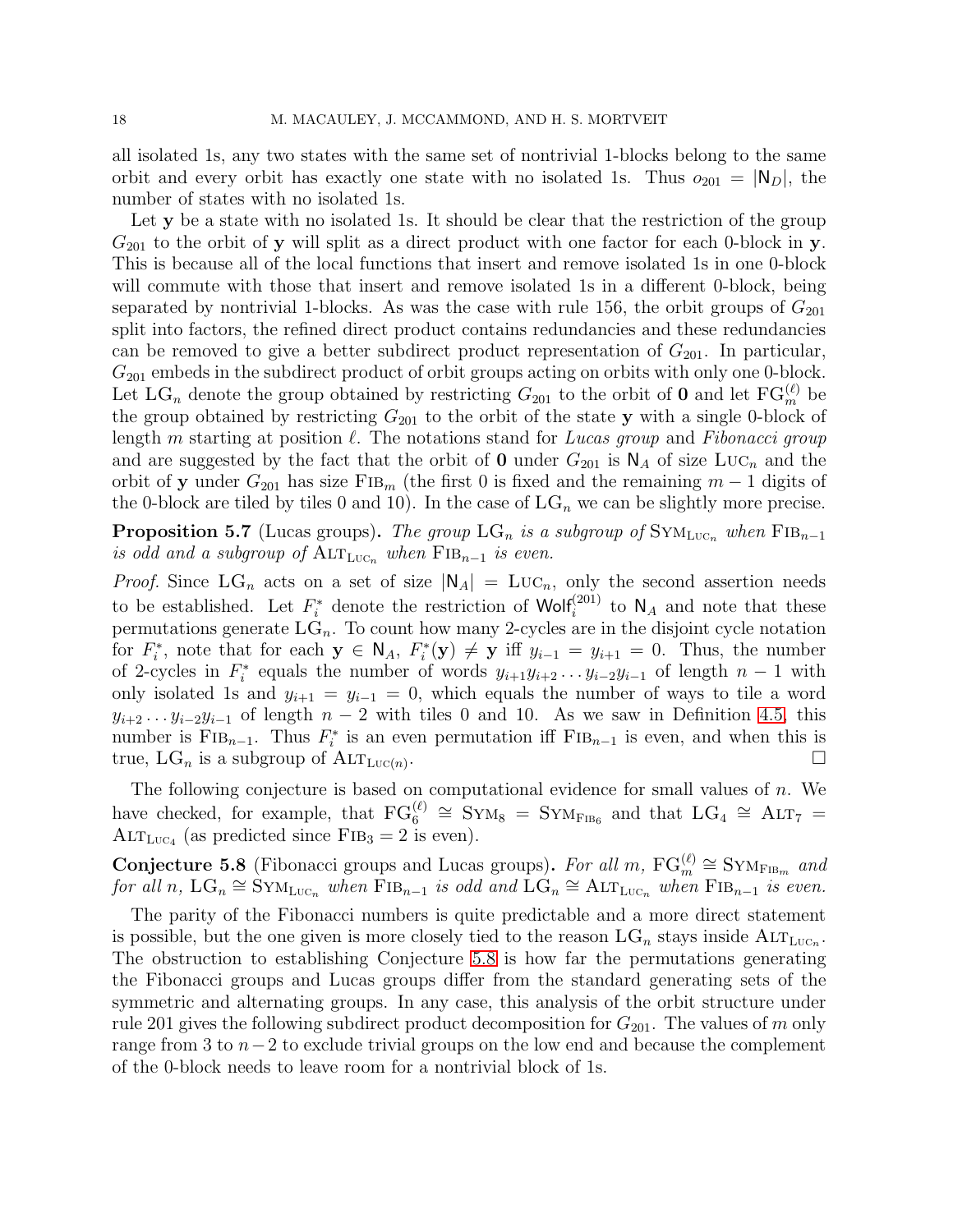all isolated 1s, any two states with the same set of nontrivial 1-blocks belong to the same orbit and every orbit has exactly one state with no isolated 1s. Thus  $o_{201} = |N_D|$ , the number of states with no isolated 1s.

Let y be a state with no isolated 1s. It should be clear that the restriction of the group  $G_{201}$  to the orbit of y will split as a direct product with one factor for each 0-block in y. This is because all of the local functions that insert and remove isolated 1s in one 0-block will commute with those that insert and remove isolated 1s in a different 0-block, being separated by nontrivial 1-blocks. As was the case with rule 156, the orbit groups of  $G_{201}$ split into factors, the refined direct product contains redundancies and these redundancies can be removed to give a better subdirect product representation of  $G_{201}$ . In particular,  $G_{201}$  embeds in the subdirect product of orbit groups acting on orbits with only one 0-block. Let  $LG_n$  denote the group obtained by restricting  $G_{201}$  to the orbit of **0** and let  $FG_m^{(\ell)}$  be the group obtained by restricting  $G_{201}$  to the orbit of the state y with a single 0-block of length m starting at position  $\ell$ . The notations stand for Lucas group and Fibonacci group and are suggested by the fact that the orbit of 0 under  $G_{201}$  is  $\mathsf{N}_A$  of size  $\text{Luc}_n$  and the orbit of y under  $G_{201}$  has size FIB<sub>m</sub> (the first 0 is fixed and the remaining  $m-1$  digits of the 0-block are tiled by tiles 0 and 10). In the case of  $LG_n$  we can be slightly more precise.

**Proposition 5.7** (Lucas groups). The group LG<sub>n</sub> is a subgroup of  $\text{SYM}_{\text{LUC}_n}$  when  $\text{FB}_{n-1}$ is odd and a subgroup of  $\text{ALT}_{\text{LUC}_n}$  when  $\text{FIB}_{n-1}$  is even.

*Proof.* Since  $LG_n$  acts on a set of size  $|N_A| = LUC_n$ , only the second assertion needs to be established. Let  $F_i^*$  denote the restriction of Wolf<sup>(201)</sup> to  $\mathsf{N}_A$  and note that these permutations generate  $LG_n$ . To count how many 2-cycles are in the disjoint cycle notation for  $F_i^*$ <sup>\*</sup>, note that for each  $y \in N_A$ ,  $F_i^*$  $j_i^*(y) \neq y$  iff  $y_{i-1} = y_{i+1} = 0$ . Thus, the number of 2-cycles in  $F_i^*$ <sup>\*\*</sup> equals the number of words  $y_{i+1}y_{i+2} \ldots y_{i-2}y_{i-1}$  of length  $n-1$  with only isolated 1s and  $y_{i+1} = y_{i-1} = 0$ , which equals the number of ways to tile a word  $y_{i+2} \t ... y_{i-2}y_{i-1}$  of length  $n-2$  with tiles 0 and 10. As we saw in Definition [4.5,](#page-11-1) this number is  $\text{FIB}_{n-1}$ . Thus  $F_i^*$ <sup>\*\*</sup> is an even permutation iff  $FIB_{n-1}$  is even, and when this is true,  $LG_n$  is a subgroup of  $\text{ALT}_{\text{LUC}(n)}$ . .

The following conjecture is based on computational evidence for small values of  $n$ . We have checked, for example, that  $FG_6^{(\ell)} \cong Sym_8 = Sym_{FB6}$  and that  $LG_4 \cong ALT_7 =$  $\text{ALT}_{\text{LUC}_4}$  (as predicted since  $\text{FIB}_3 = 2$  is even).

<span id="page-18-0"></span>**Conjecture 5.8** (Fibonacci groups and Lucas groups). For all m,  $FG_m^{(\ell)} \cong Sym_{FIBm}$  and for all n,  $LG_n \cong \text{Sym}_{\text{Luc}_n}$  when  $\text{FB}_{n-1}$  is odd and  $\text{LG}_n \cong \text{ALT}_{\text{Luc}_n}$  when  $\text{FB}_{n-1}$  is even.

The parity of the Fibonacci numbers is quite predictable and a more direct statement is possible, but the one given is more closely tied to the reason  $LG_n$  stays inside  $\text{ALT}_{\text{LUC}_n}$ . The obstruction to establishing Conjecture [5.8](#page-18-0) is how far the permutations generating the Fibonacci groups and Lucas groups differ from the standard generating sets of the symmetric and alternating groups. In any case, this analysis of the orbit structure under rule 201 gives the following subdirect product decomposition for  $G_{201}$ . The values of m only range from 3 to  $n-2$  to exclude trivial groups on the low end and because the complement of the 0-block needs to leave room for a nontrivial block of 1s.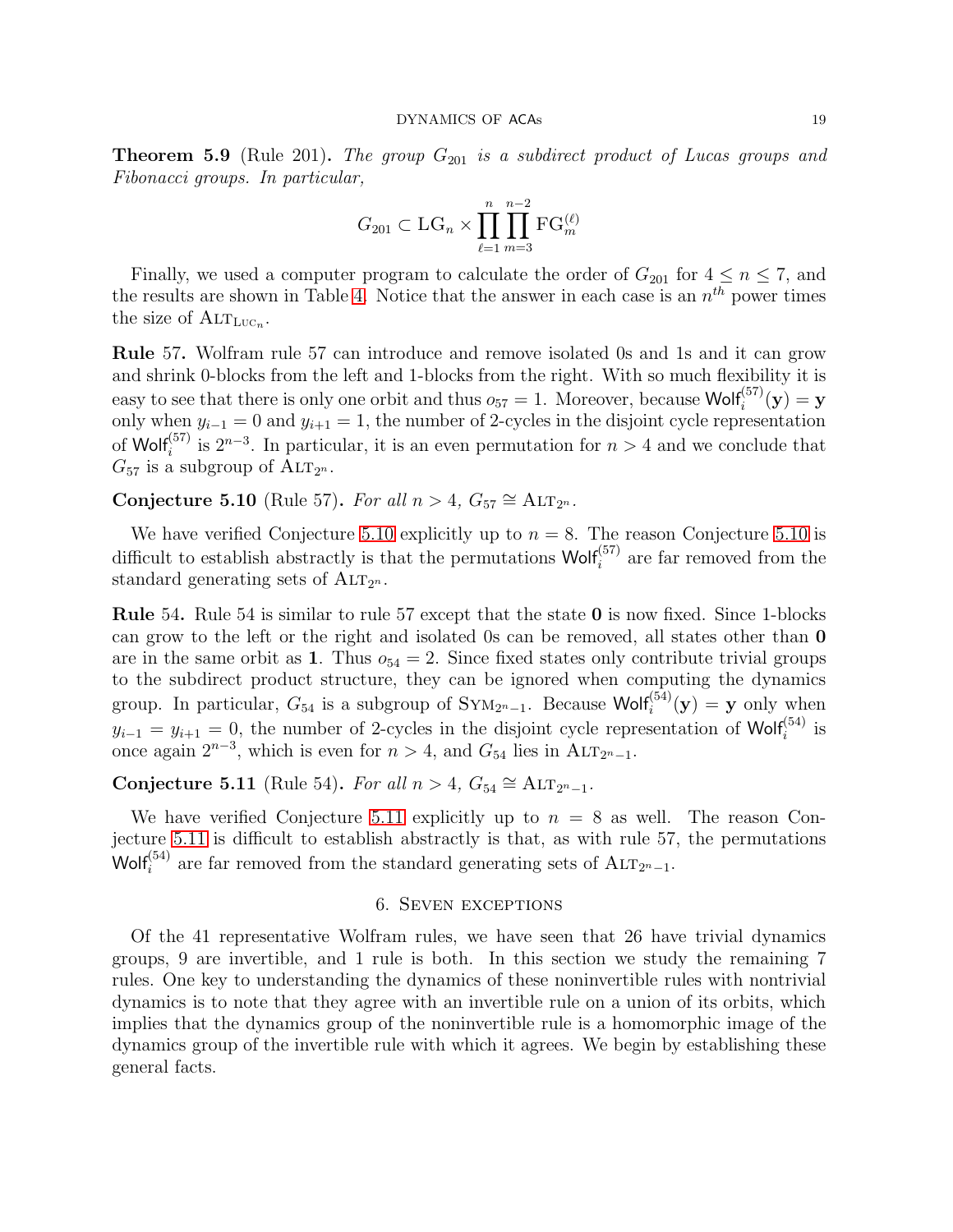<span id="page-19-1"></span>**Theorem 5.9** (Rule 201). The group  $G_{201}$  is a subdirect product of Lucas groups and Fibonacci groups. In particular,

$$
G_{201} \subset \mathrm{LG}_n \times \prod_{\ell=1}^n \prod_{m=3}^{n-2} \mathrm{FG}_m^{(\ell)}
$$

Finally, we used a computer program to calculate the order of  $G_{201}$  for  $4 \le n \le 7$ , and the results are shown in Table [4.](#page-17-1) Notice that the answer in each case is an  $n^{th}$  power times the size of  $\mathrm{ALT}_{\mathrm{LUC}_n}$ .

Rule 57. Wolfram rule 57 can introduce and remove isolated 0s and 1s and it can grow and shrink 0-blocks from the left and 1-blocks from the right. With so much flexibility it is easy to see that there is only one orbit and thus  $o_{57} = 1$ . Moreover, because Wolf<sup> $(57)$ </sup> $(y) = y$ only when  $y_{i-1} = 0$  and  $y_{i+1} = 1$ , the number of 2-cycles in the disjoint cycle representation of Wolf<sup>{57}</sup> is  $2^{n-3}$ . In particular, it is an even permutation for  $n > 4$  and we conclude that  $G_{57}$  is a subgroup of  $\text{ALT}_{2^n}$ .

<span id="page-19-2"></span>Conjecture 5.10 (Rule 57). For all  $n > 4$ ,  $G_{57} \cong \text{ALT}_{2^n}$ .

We have verified Conjecture [5.10](#page-19-2) explicitly up to  $n = 8$ . The reason Conjecture 5.10 is difficult to establish abstractly is that the permutations  $Wolf_i^{(57)}$  are far removed from the standard generating sets of  $\text{ALT}_{2^n}$ .

Rule 54. Rule 54 is similar to rule 57 except that the state 0 is now fixed. Since 1-blocks can grow to the left or the right and isolated 0s can be removed, all states other than 0 are in the same orbit as 1. Thus  $o_{54} = 2$ . Since fixed states only contribute trivial groups to the subdirect product structure, they can be ignored when computing the dynamics group. In particular,  $G_{54}$  is a subgroup of  $\text{Sym}_{2^n-1}$ . Because Wolf<sup> $(54)$ </sup> $(y) = y$  only when  $y_{i-1} = y_{i+1} = 0$ , the number of 2-cycles in the disjoint cycle representation of Wolf<sup>(54)</sup> is once again  $2^{n-3}$ , which is even for  $n > 4$ , and  $G_{54}$  lies in ALT<sub>2n-1</sub>.

<span id="page-19-3"></span>Conjecture 5.11 (Rule 54). For all  $n > 4$ ,  $G_{54} \cong \text{ALT}_{2^n-1}$ .

We have verified Conjecture [5.11](#page-19-3) explicitly up to  $n = 8$  as well. The reason Conjecture [5.11](#page-19-3) is difficult to establish abstractly is that, as with rule 57, the permutations Wolf<sup>(54)</sup> are far removed from the standard generating sets of  $\text{ALT}_{2^n-1}$ .

#### 6. Seven exceptions

<span id="page-19-0"></span>Of the 41 representative Wolfram rules, we have seen that 26 have trivial dynamics groups, 9 are invertible, and 1 rule is both. In this section we study the remaining 7 rules. One key to understanding the dynamics of these noninvertible rules with nontrivial dynamics is to note that they agree with an invertible rule on a union of its orbits, which implies that the dynamics group of the noninvertible rule is a homomorphic image of the dynamics group of the invertible rule with which it agrees. We begin by establishing these general facts.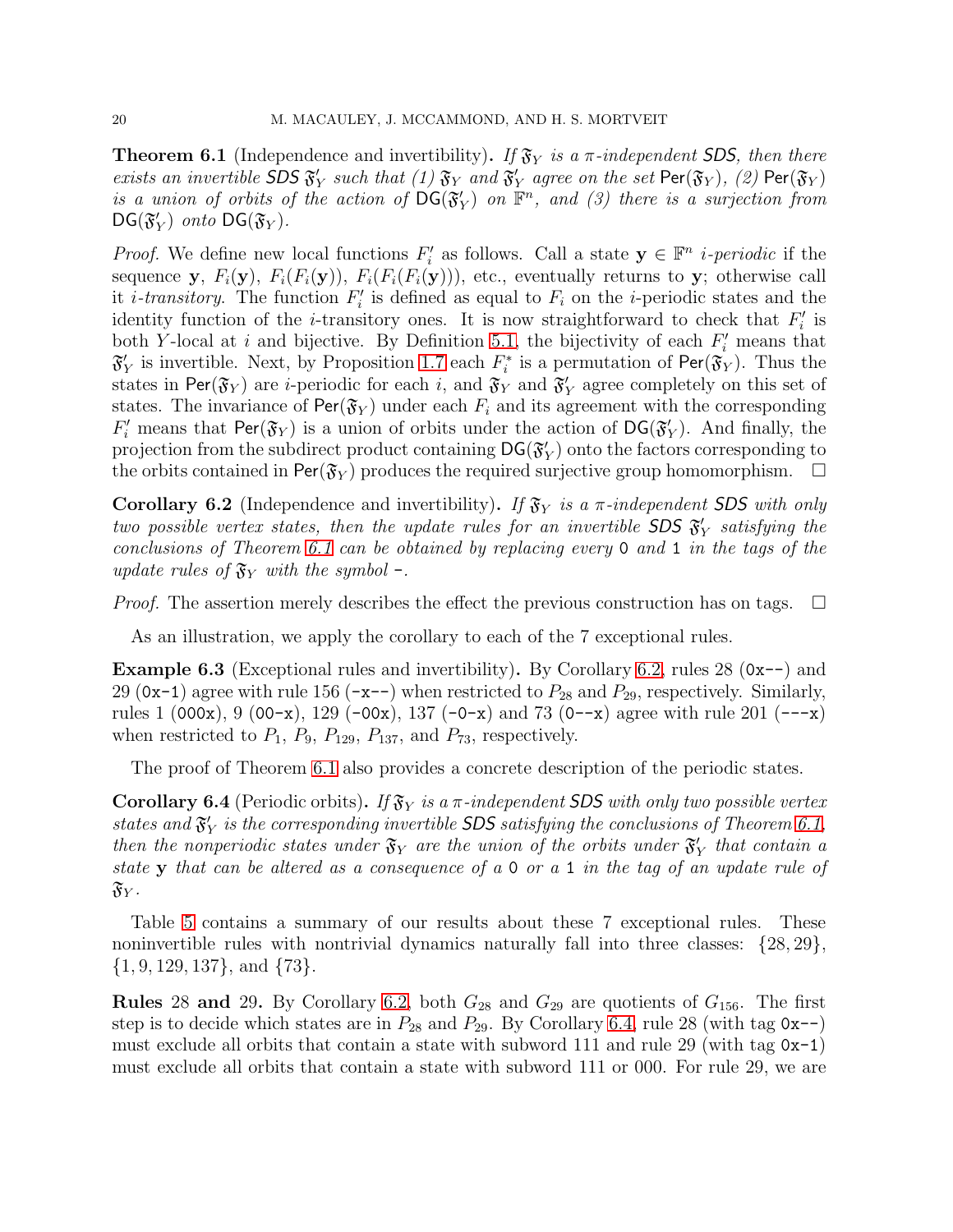<span id="page-20-0"></span>**Theorem 6.1** (Independence and invertibility). If  $\mathfrak{F}_Y$  is a  $\pi$ -independent SDS, then there exists an invertible  $\overline{SDS} \mathfrak{F}'_1$  $'_{Y}$  such that (1)  $\mathfrak{F}_{Y}$  and  $\mathfrak{F}'_{Y}$  $Y_Y$  agree on the set  $\mathsf{Per}(\mathfrak{F}_Y)$ ,  $(2)$   $\mathsf{Per}(\mathfrak{F}_Y)$ is a union of orbits of the action of  $DG(\mathfrak{F})$  $\mathcal{H}_Y$ ) on  $\mathbb{F}^n$ , and (3) there is a surjection from  $DG(\mathfrak{F}'_1)$  $Y_Y$ ) onto  $\mathsf{DG}(\mathfrak{F}_Y)$ .

*Proof.* We define new local functions  $F_i'$  $i'$  as follows. Call a state  $y \in \mathbb{F}^n$  *i*-periodic if the sequence y,  $F_i(\mathbf{y})$ ,  $F_i(F_i(\mathbf{y}))$ ,  $F_i(F_i(F_i(\mathbf{y})))$ , etc., eventually returns to y; otherwise call it *i*-transitory. The function  $F_i'$  $i<sub>i</sub>$  is defined as equal to  $F<sub>i</sub>$  on the *i*-periodic states and the identity function of the *i*-transitory ones. It is now straightforward to check that  $F_i'$  $_i'$  is both Y-local at i and bijective. By Definition [5.1,](#page-12-1) the bijectivity of each  $F_i'$  means that  $\mathfrak{F}_1'$  $Y<sub>Y</sub>$  is invertible. Next, by Proposition [1.7](#page-3-0) each  $F<sub>i</sub><sup>*</sup>$ <sup>\*\*</sup> is a permutation of  $\mathsf{Per}(\mathfrak{F}_Y)$ . Thus the states in Per( $\mathfrak{F}_Y$ ) are *i*-periodic for each *i*, and  $\mathfrak{F}_Y$  and  $\mathfrak{F}_Y$  $'Y$  agree completely on this set of states. The invariance of  $\text{Per}(\mathfrak{F}_Y)$  under each  $F_i$  and its agreement with the corresponding  $F'_i$  means that Per( $\mathfrak{F}_Y$ ) is a union of orbits under the action of DG( $\mathfrak{F}'_2$ )  $'_{Y}$ ). And finally, the projection from the subdirect product containing  $\mathsf{DG}(\mathfrak{F})$  $_Y'$ ) onto the factors corresponding to the orbits contained in Per( $\mathfrak{F}_Y$ ) produces the required surjective group homomorphism.  $\Box$ 

<span id="page-20-1"></span>**Corollary 6.2** (Independence and invertibility). If  $\mathfrak{F}_Y$  is a  $\pi$ -independent SDS with only two possible vertex states, then the update rules for an invertible SDS  $\mathfrak{F}'_2$  $_{Y}^{\prime}$  satisfying the conclusions of Theorem [6.1](#page-20-0) can be obtained by replacing every 0 and 1 in the tags of the update rules of  $\mathfrak{F}_Y$  with the symbol -.

*Proof.* The assertion merely describes the effect the previous construction has on tags.  $\Box$ 

As an illustration, we apply the corollary to each of the 7 exceptional rules.

**Example 6.3** (Exceptional rules and invertibility). By Corollary [6.2,](#page-20-1) rules 28 ( $0x$ --) and 29 (0x-1) agree with rule 156 (-x--) when restricted to  $P_{28}$  and  $P_{29}$ , respectively. Similarly, rules 1 (000x), 9 (00-x), 129 (-00x), 137 (-0-x) and 73 (0--x) agree with rule 201 (---x) when restricted to  $P_1$ ,  $P_9$ ,  $P_{129}$ ,  $P_{137}$ , and  $P_{73}$ , respectively.

The proof of Theorem [6.1](#page-20-0) also provides a concrete description of the periodic states.

<span id="page-20-2"></span>**Corollary 6.4** (Periodic orbits). If  $\mathfrak{F}_Y$  is a  $\pi$ -independent SDS with only two possible vertex states and  $\mathfrak{F}'_1$  $V_Y$  is the corresponding invertible SDS satisfying the conclusions of Theorem [6.1,](#page-20-0) then the nonperiodic states under  $\mathfrak{F}_Y$  are the union of the orbits under  $\mathfrak{F}'_Y$  $y'$  that contain a state y that can be altered as a consequence of a 0 or a 1 in the tag of an update rule of  $\mathfrak{F}_Y$  .

Table [5](#page-21-0) contains a summary of our results about these 7 exceptional rules. These noninvertible rules with nontrivial dynamics naturally fall into three classes:  $\{28, 29\}$ ,  $\{1, 9, 129, 137\}$ , and  $\{73\}$ .

**Rules** 28 and 29. By Corollary [6.2,](#page-20-1) both  $G_{28}$  and  $G_{29}$  are quotients of  $G_{156}$ . The first step is to decide which states are in  $P_{28}$  and  $P_{29}$ . By Corollary [6.4,](#page-20-2) rule 28 (with tag 0x--) must exclude all orbits that contain a state with subword 111 and rule 29 (with tag  $0x-1$ ) must exclude all orbits that contain a state with subword 111 or 000. For rule 29, we are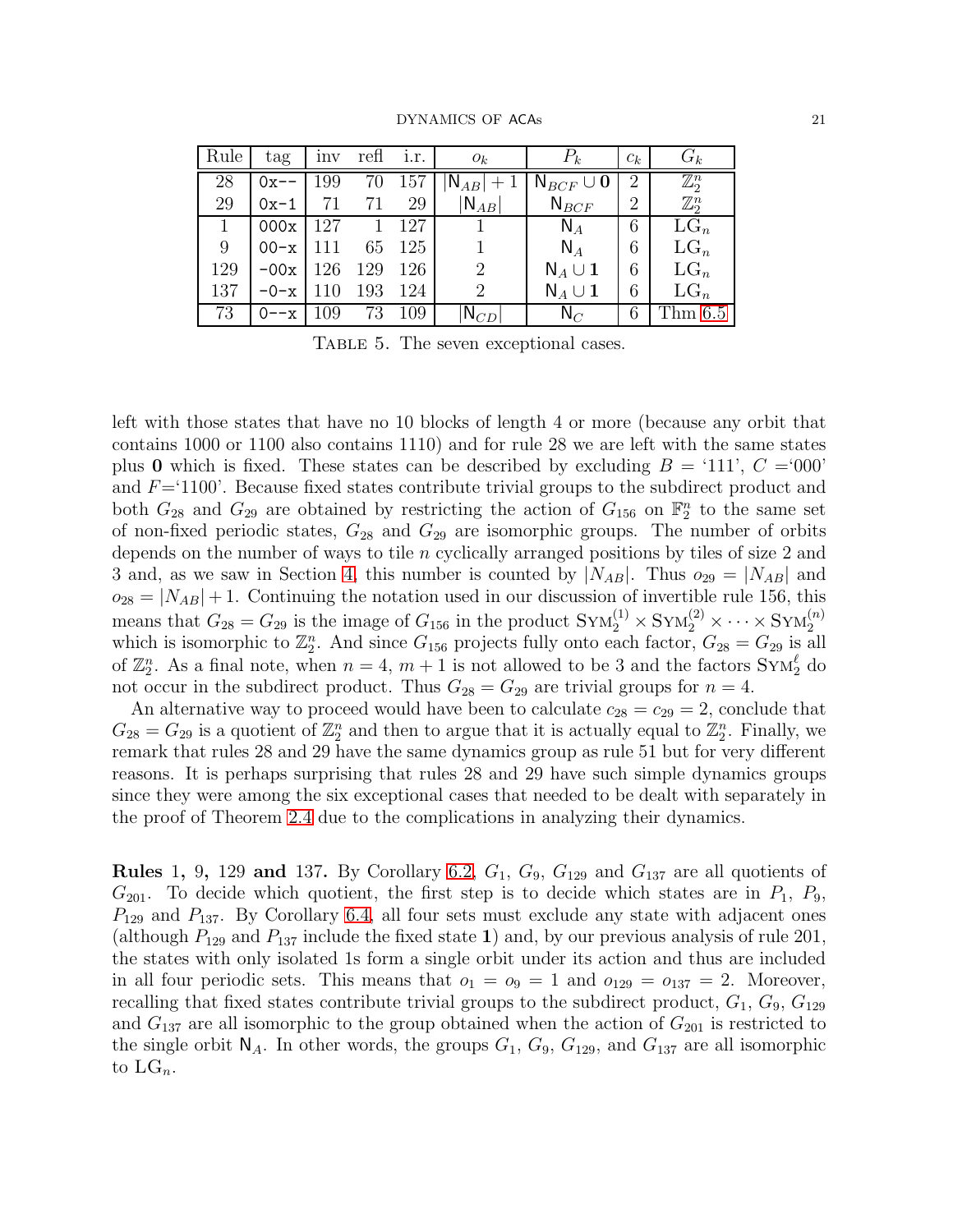| DYNAMICS OF ACAs |  |
|------------------|--|
|                  |  |

| Rule         | tag    | <b>Inv</b> | refl | 1.r. | $O_k$                | $P_k$                            | $c_k$          | $G_k$            |
|--------------|--------|------------|------|------|----------------------|----------------------------------|----------------|------------------|
| 28           | $0x--$ | 199        | 70   | 157  | $ N_{AB} +1$         | $\mathsf{N}_{BCF}\cup\mathbf{0}$ | 2              | $\mathbb{Z}_2^n$ |
| 29           | $0x-1$ | 71         | 71   | 29   | $ {\mathsf N}_{AB} $ | $N_{BCF}$                        | $\overline{2}$ | $\mathbb{Z}_2^n$ |
| $\mathbf{1}$ | 000x   | 127        |      | 127  |                      | $N_A$                            | 6              | $LG_n$           |
| 9            | $00-x$ |            | 65   | 125  |                      | $N_A$                            | 6              | $LG_n$           |
| 129          | $-00x$ | 126        | 129  | 126  | $\overline{2}$       | $N_A \cup 1$                     | 6              | $LG_n$           |
| 137          | $-0-x$ |            | 193  | 124  | 2                    | $N_A \cup 1$                     | 6              | $LG_n$           |
| 73           | --x    | 109        | 73   | 109  | $N_{CD}$             | $N_C$                            | 6              | Thm $6.5$        |

<span id="page-21-0"></span>TABLE 5. The seven exceptional cases.

left with those states that have no 10 blocks of length 4 or more (because any orbit that contains 1000 or 1100 also contains 1110) and for rule 28 we are left with the same states plus 0 which is fixed. These states can be described by excluding  $B = '111', C = '000'$ and  $F=1100'$ . Because fixed states contribute trivial groups to the subdirect product and both  $G_{28}$  and  $G_{29}$  are obtained by restricting the action of  $G_{156}$  on  $\mathbb{F}_2^n$  to the same set of non-fixed periodic states,  $G_{28}$  and  $G_{29}$  are isomorphic groups. The number of orbits depends on the number of ways to tile n cyclically arranged positions by tiles of size 2 and 3 and, as we saw in Section [4,](#page-9-0) this number is counted by  $|N_{AB}|$ . Thus  $o_{29} = |N_{AB}|$  and  $o_{28} = |N_{AB}| + 1$ . Continuing the notation used in our discussion of invertible rule 156, this means that  $G_{28} = G_{29}$  is the image of  $G_{156}$  in the product  $SYM_2^{(1)} \times Sym_2^{(2)} \times \cdots \times Sym_2^{(n)}$ which is isomorphic to  $\mathbb{Z}_2^n$ . And since  $G_{156}$  projects fully onto each factor,  $G_{28} = G_{29}$  is all of  $\mathbb{Z}_2^n$ . As a final note, when  $n = 4, m + 1$  is not allowed to be 3 and the factors  $\text{Sym}_2^{\ell}$  do not occur in the subdirect product. Thus  $G_{28} = G_{29}$  are trivial groups for  $n = 4$ .

An alternative way to proceed would have been to calculate  $c_{28} = c_{29} = 2$ , conclude that  $G_{28} = G_{29}$  is a quotient of  $\mathbb{Z}_2^n$  and then to argue that it is actually equal to  $\mathbb{Z}_2^n$ . Finally, we remark that rules 28 and 29 have the same dynamics group as rule 51 but for very different reasons. It is perhaps surprising that rules 28 and 29 have such simple dynamics groups since they were among the six exceptional cases that needed to be dealt with separately in the proof of Theorem [2.4](#page-4-1) due to the complications in analyzing their dynamics.

**Rules 1, 9, 129 and 137.** By Corollary [6.2,](#page-20-1)  $G_1$ ,  $G_9$ ,  $G_{129}$  and  $G_{137}$  are all quotients of  $G_{201}$ . To decide which quotient, the first step is to decide which states are in  $P_1$ ,  $P_9$ ,  $P_{129}$  and  $P_{137}$ . By Corollary [6.4,](#page-20-2) all four sets must exclude any state with adjacent ones (although  $P_{129}$  and  $P_{137}$  include the fixed state 1) and, by our previous analysis of rule 201, the states with only isolated 1s form a single orbit under its action and thus are included in all four periodic sets. This means that  $o_1 = o_9 = 1$  and  $o_{129} = o_{137} = 2$ . Moreover, recalling that fixed states contribute trivial groups to the subdirect product,  $G_1, G_9, G_{129}$ and  $G_{137}$  are all isomorphic to the group obtained when the action of  $G_{201}$  is restricted to the single orbit  $\mathsf{N}_A$ . In other words, the groups  $G_1$ ,  $G_9$ ,  $G_{129}$ , and  $G_{137}$  are all isomorphic to  $LG_n$ .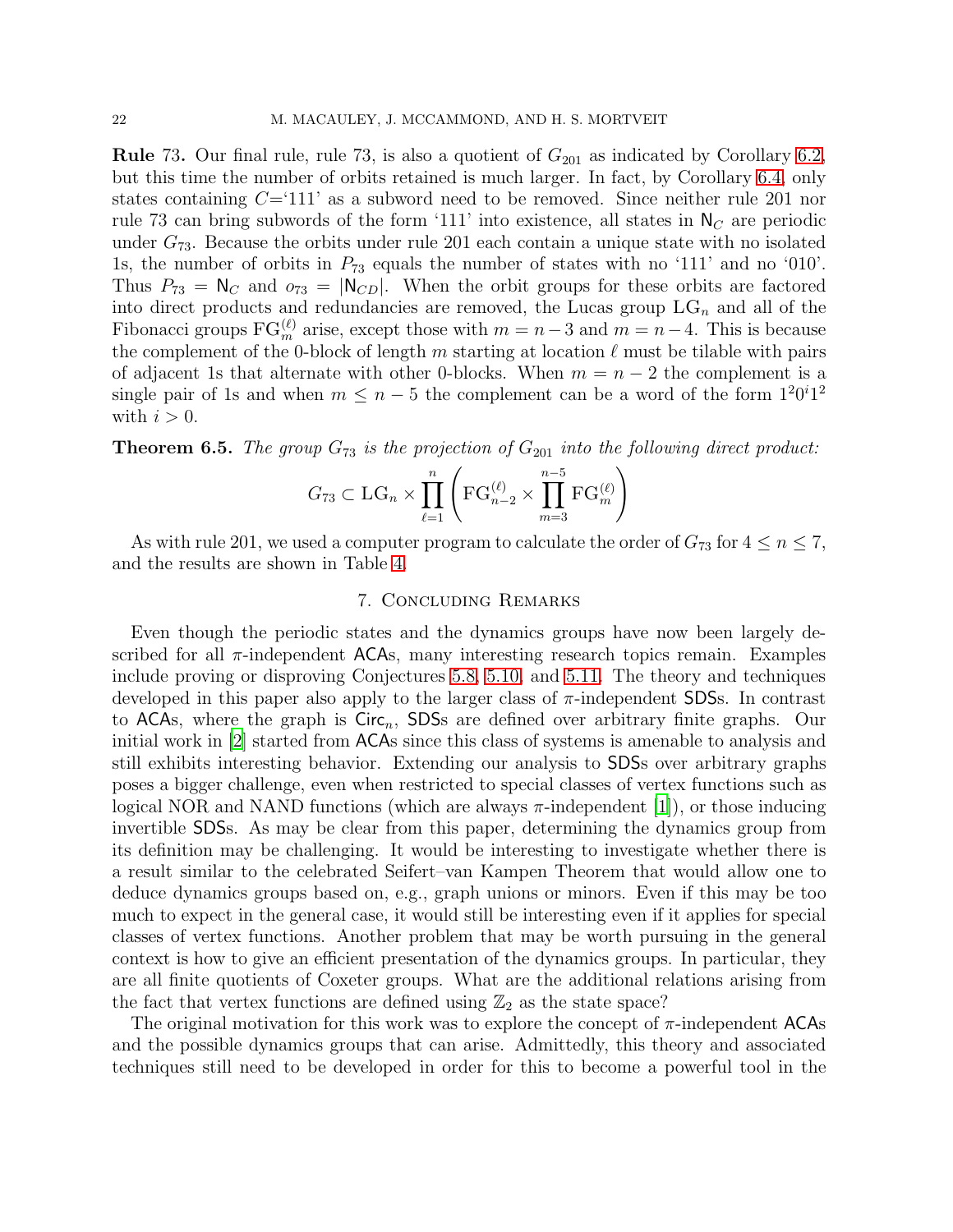**Rule** 73. Our final rule, rule 73, is also a quotient of  $G_{201}$  as indicated by Corollary [6.2,](#page-20-1) but this time the number of orbits retained is much larger. In fact, by Corollary [6.4,](#page-20-2) only states containing  $C=111'$  as a subword need to be removed. Since neither rule 201 nor rule 73 can bring subwords of the form '111' into existence, all states in  $N_c$  are periodic under  $G_{73}$ . Because the orbits under rule 201 each contain a unique state with no isolated 1s, the number of orbits in  $P_{73}$  equals the number of states with no '111' and no '010'. Thus  $P_{73} = N_C$  and  $o_{73} = |N_{CD}|$ . When the orbit groups for these orbits are factored into direct products and redundancies are removed, the Lucas group  $LG_n$  and all of the Fibonacci groups  $FG_m^{(\ell)}$  arise, except those with  $m = n-3$  and  $m = n-4$ . This is because the complement of the 0-block of length m starting at location  $\ell$  must be tilable with pairs of adjacent 1s that alternate with other 0-blocks. When  $m = n - 2$  the complement is a single pair of 1s and when  $m \leq n-5$  the complement can be a word of the form  $1^20^i1^2$ with  $i > 0$ .

<span id="page-22-0"></span>**Theorem 6.5.** The group  $G_{73}$  is the projection of  $G_{201}$  into the following direct product:

$$
G_{73} \subset \mathrm{LG}_n \times \prod_{\ell=1}^n \left( \mathrm{FG}_{n-2}^{(\ell)} \times \prod_{m=3}^{n-5} \mathrm{FG}_m^{(\ell)} \right)
$$

As with rule 201, we used a computer program to calculate the order of  $G_{73}$  for  $4 \le n \le 7$ , and the results are shown in Table [4.](#page-17-1)

## 7. Concluding Remarks

Even though the periodic states and the dynamics groups have now been largely described for all  $\pi$ -independent ACAs, many interesting research topics remain. Examples include proving or disproving Conjectures [5.8,](#page-18-0) [5.10,](#page-19-2) and [5.11.](#page-19-3) The theory and techniques developed in this paper also apply to the larger class of  $\pi$ -independent SDSs. In contrast to ACAs, where the graph is  $Circ_n$ , SDSs are defined over arbitrary finite graphs. Our initial work in [\[2\]](#page-23-1) started from ACAs since this class of systems is amenable to analysis and still exhibits interesting behavior. Extending our analysis to SDSs over arbitrary graphs poses a bigger challenge, even when restricted to special classes of vertex functions such as logical NOR and NAND functions (which are always  $\pi$ -independent [\[1\]](#page-23-3)), or those inducing invertible SDSs. As may be clear from this paper, determining the dynamics group from its definition may be challenging. It would be interesting to investigate whether there is a result similar to the celebrated Seifert–van Kampen Theorem that would allow one to deduce dynamics groups based on, e.g., graph unions or minors. Even if this may be too much to expect in the general case, it would still be interesting even if it applies for special classes of vertex functions. Another problem that may be worth pursuing in the general context is how to give an efficient presentation of the dynamics groups. In particular, they are all finite quotients of Coxeter groups. What are the additional relations arising from the fact that vertex functions are defined using  $\mathbb{Z}_2$  as the state space?

The original motivation for this work was to explore the concept of  $\pi$ -independent ACAs and the possible dynamics groups that can arise. Admittedly, this theory and associated techniques still need to be developed in order for this to become a powerful tool in the